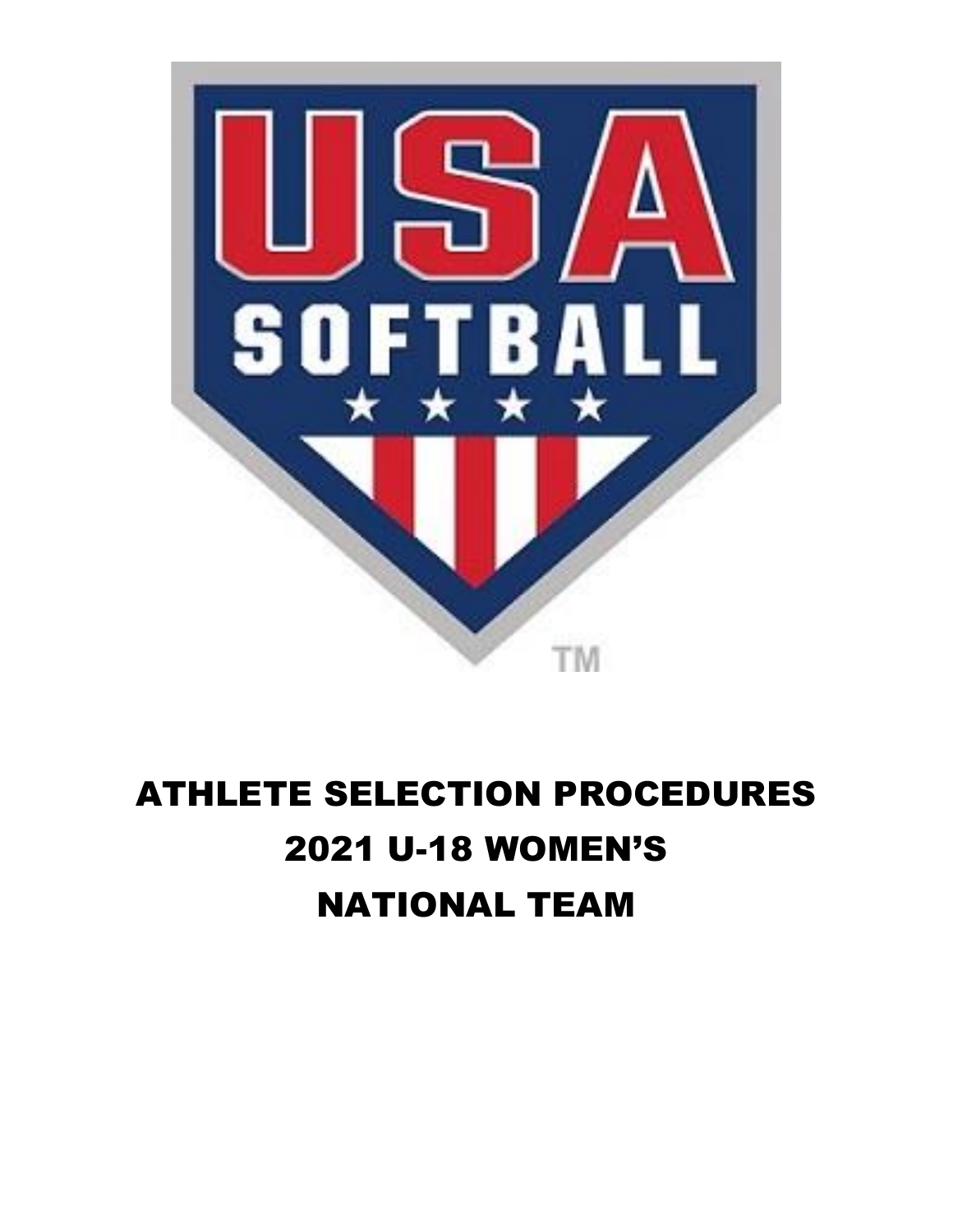

# ATHLETE SELECTION PROCEDURES 2021 U-18 WOMEN'S NATIONAL TEAM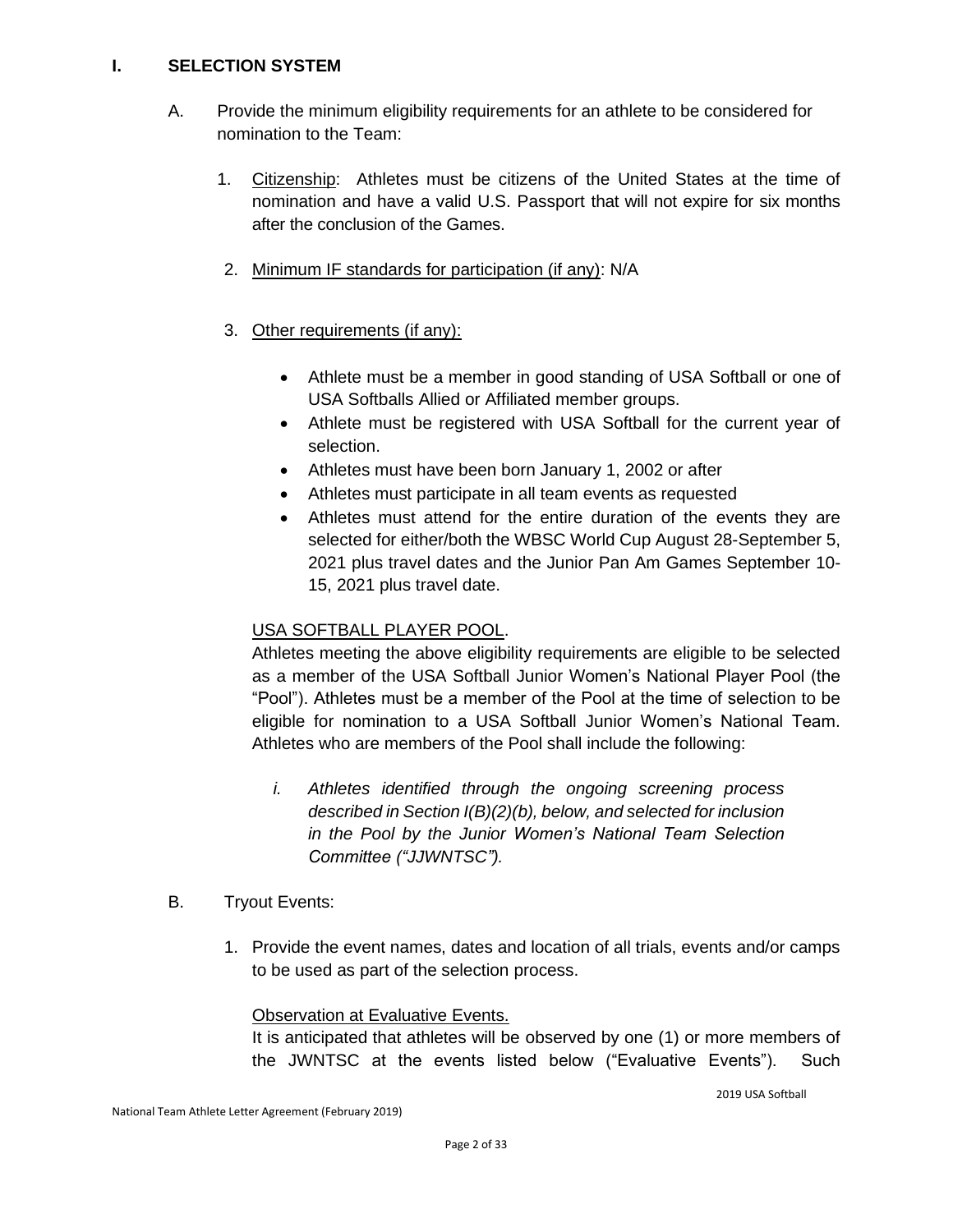#### **I. SELECTION SYSTEM**

- A. Provide the minimum eligibility requirements for an athlete to be considered for nomination to the Team:
	- 1. Citizenship: Athletes must be citizens of the United States at the time of nomination and have a valid U.S. Passport that will not expire for six months after the conclusion of the Games.
	- 2. Minimum IF standards for participation (if any): N/A
	- 3. Other requirements (if any):
		- Athlete must be a member in good standing of USA Softball or one of USA Softballs Allied or Affiliated member groups.
		- Athlete must be registered with USA Softball for the current year of selection.
		- Athletes must have been born January 1, 2002 or after
		- Athletes must participate in all team events as requested
		- Athletes must attend for the entire duration of the events they are selected for either/both the WBSC World Cup August 28-September 5, 2021 plus travel dates and the Junior Pan Am Games September 10- 15, 2021 plus travel date.

#### USA SOFTBALL PLAYER POOL.

Athletes meeting the above eligibility requirements are eligible to be selected as a member of the USA Softball Junior Women's National Player Pool (the "Pool"). Athletes must be a member of the Pool at the time of selection to be eligible for nomination to a USA Softball Junior Women's National Team. Athletes who are members of the Pool shall include the following:

- *i. Athletes identified through the ongoing screening process described in Section I(B)(2)(b), below, and selected for inclusion in the Pool by the Junior Women's National Team Selection Committee ("JJWNTSC").*
- B. Tryout Events:
	- 1. Provide the event names, dates and location of all trials, events and/or camps to be used as part of the selection process.

#### Observation at Evaluative Events.

It is anticipated that athletes will be observed by one (1) or more members of the JWNTSC at the events listed below ("Evaluative Events"). Such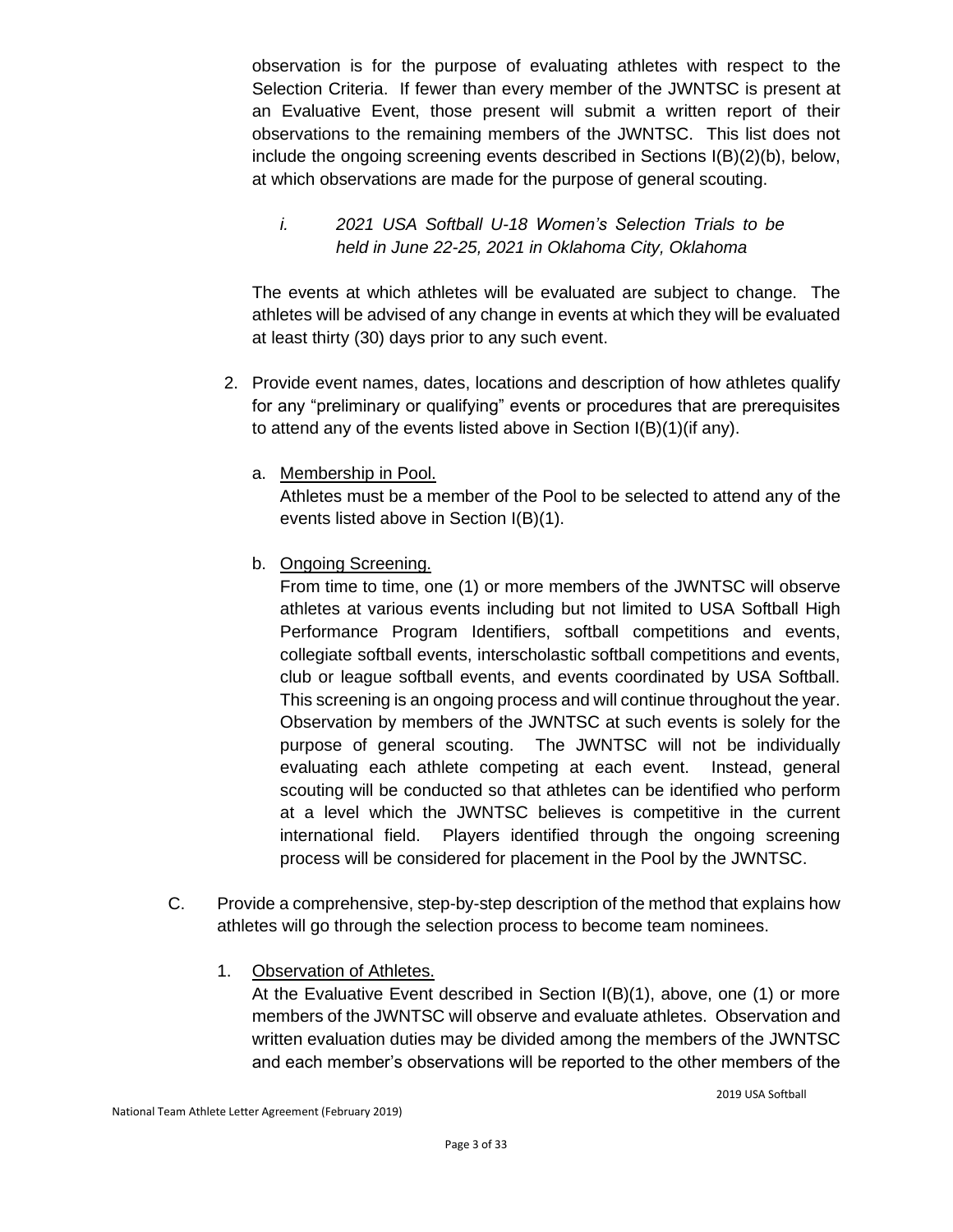observation is for the purpose of evaluating athletes with respect to the Selection Criteria. If fewer than every member of the JWNTSC is present at an Evaluative Event, those present will submit a written report of their observations to the remaining members of the JWNTSC. This list does not include the ongoing screening events described in Sections I(B)(2)(b), below, at which observations are made for the purpose of general scouting.

#### *i. 2021 USA Softball U-18 Women's Selection Trials to be held in June 22-25, 2021 in Oklahoma City, Oklahoma*

The events at which athletes will be evaluated are subject to change. The athletes will be advised of any change in events at which they will be evaluated at least thirty (30) days prior to any such event.

- 2. Provide event names, dates, locations and description of how athletes qualify for any "preliminary or qualifying" events or procedures that are prerequisites to attend any of the events listed above in Section I(B)(1)(if any).
	- a. Membership in Pool.

Athletes must be a member of the Pool to be selected to attend any of the events listed above in Section I(B)(1).

b. Ongoing Screening.

From time to time, one (1) or more members of the JWNTSC will observe athletes at various events including but not limited to USA Softball High Performance Program Identifiers, softball competitions and events, collegiate softball events, interscholastic softball competitions and events, club or league softball events, and events coordinated by USA Softball. This screening is an ongoing process and will continue throughout the year. Observation by members of the JWNTSC at such events is solely for the purpose of general scouting. The JWNTSC will not be individually evaluating each athlete competing at each event. Instead, general scouting will be conducted so that athletes can be identified who perform at a level which the JWNTSC believes is competitive in the current international field. Players identified through the ongoing screening process will be considered for placement in the Pool by the JWNTSC.

- C. Provide a comprehensive, step-by-step description of the method that explains how athletes will go through the selection process to become team nominees.
	- 1. Observation of Athletes.

At the Evaluative Event described in Section I(B)(1), above, one (1) or more members of the JWNTSC will observe and evaluate athletes. Observation and written evaluation duties may be divided among the members of the JWNTSC and each member's observations will be reported to the other members of the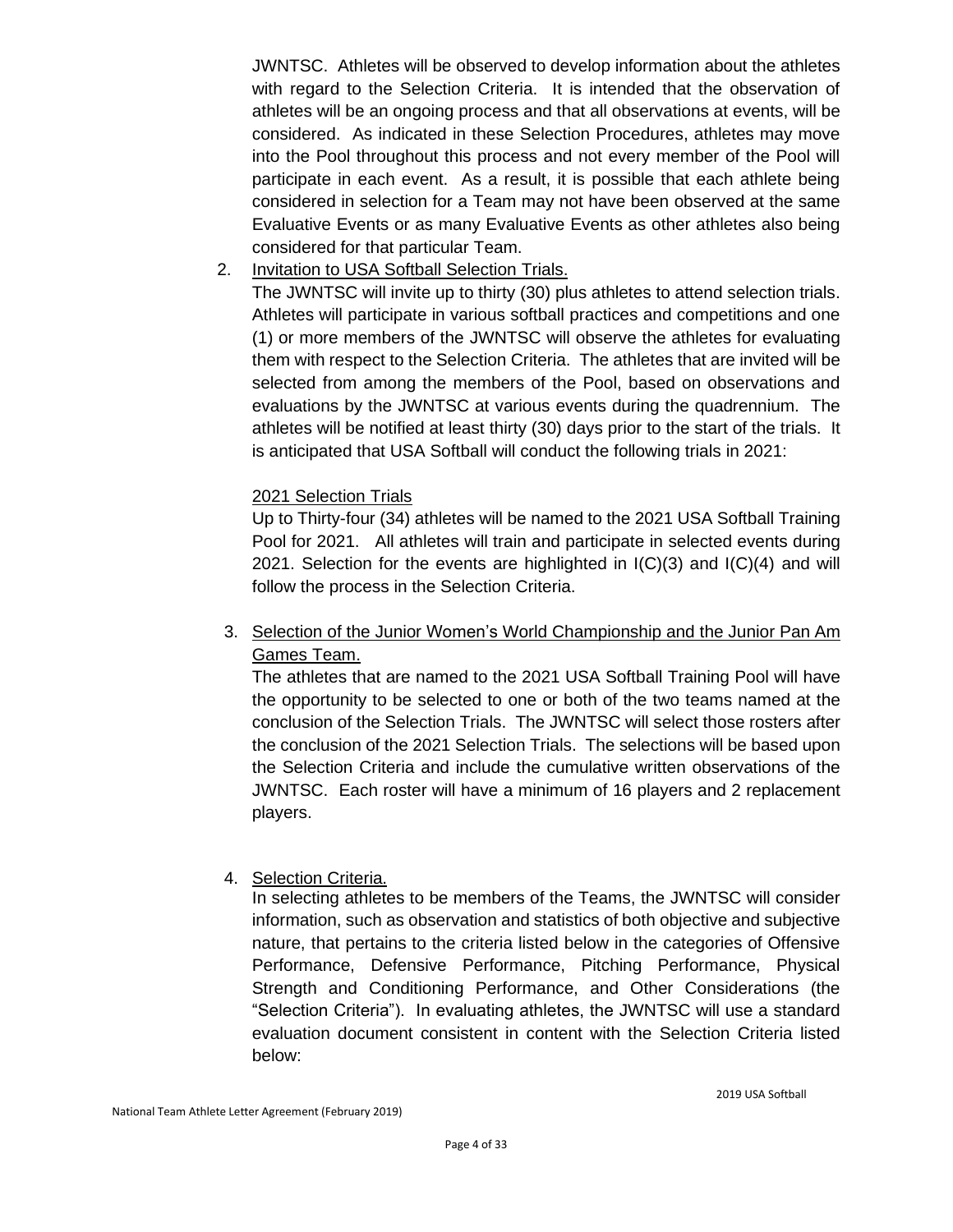JWNTSC. Athletes will be observed to develop information about the athletes with regard to the Selection Criteria. It is intended that the observation of athletes will be an ongoing process and that all observations at events, will be considered. As indicated in these Selection Procedures, athletes may move into the Pool throughout this process and not every member of the Pool will participate in each event. As a result, it is possible that each athlete being considered in selection for a Team may not have been observed at the same Evaluative Events or as many Evaluative Events as other athletes also being considered for that particular Team.

2. Invitation to USA Softball Selection Trials.

The JWNTSC will invite up to thirty (30) plus athletes to attend selection trials. Athletes will participate in various softball practices and competitions and one (1) or more members of the JWNTSC will observe the athletes for evaluating them with respect to the Selection Criteria. The athletes that are invited will be selected from among the members of the Pool, based on observations and evaluations by the JWNTSC at various events during the quadrennium. The athletes will be notified at least thirty (30) days prior to the start of the trials. It is anticipated that USA Softball will conduct the following trials in 2021:

#### 2021 Selection Trials

Up to Thirty-four (34) athletes will be named to the 2021 USA Softball Training Pool for 2021. All athletes will train and participate in selected events during 2021. Selection for the events are highlighted in  $I(C)(3)$  and  $I(C)(4)$  and will follow the process in the Selection Criteria.

3. Selection of the Junior Women's World Championship and the Junior Pan Am Games Team.

The athletes that are named to the 2021 USA Softball Training Pool will have the opportunity to be selected to one or both of the two teams named at the conclusion of the Selection Trials. The JWNTSC will select those rosters after the conclusion of the 2021 Selection Trials. The selections will be based upon the Selection Criteria and include the cumulative written observations of the JWNTSC. Each roster will have a minimum of 16 players and 2 replacement players.

#### 4. Selection Criteria.

In selecting athletes to be members of the Teams, the JWNTSC will consider information, such as observation and statistics of both objective and subjective nature, that pertains to the criteria listed below in the categories of Offensive Performance, Defensive Performance, Pitching Performance, Physical Strength and Conditioning Performance, and Other Considerations (the "Selection Criteria"). In evaluating athletes, the JWNTSC will use a standard evaluation document consistent in content with the Selection Criteria listed below: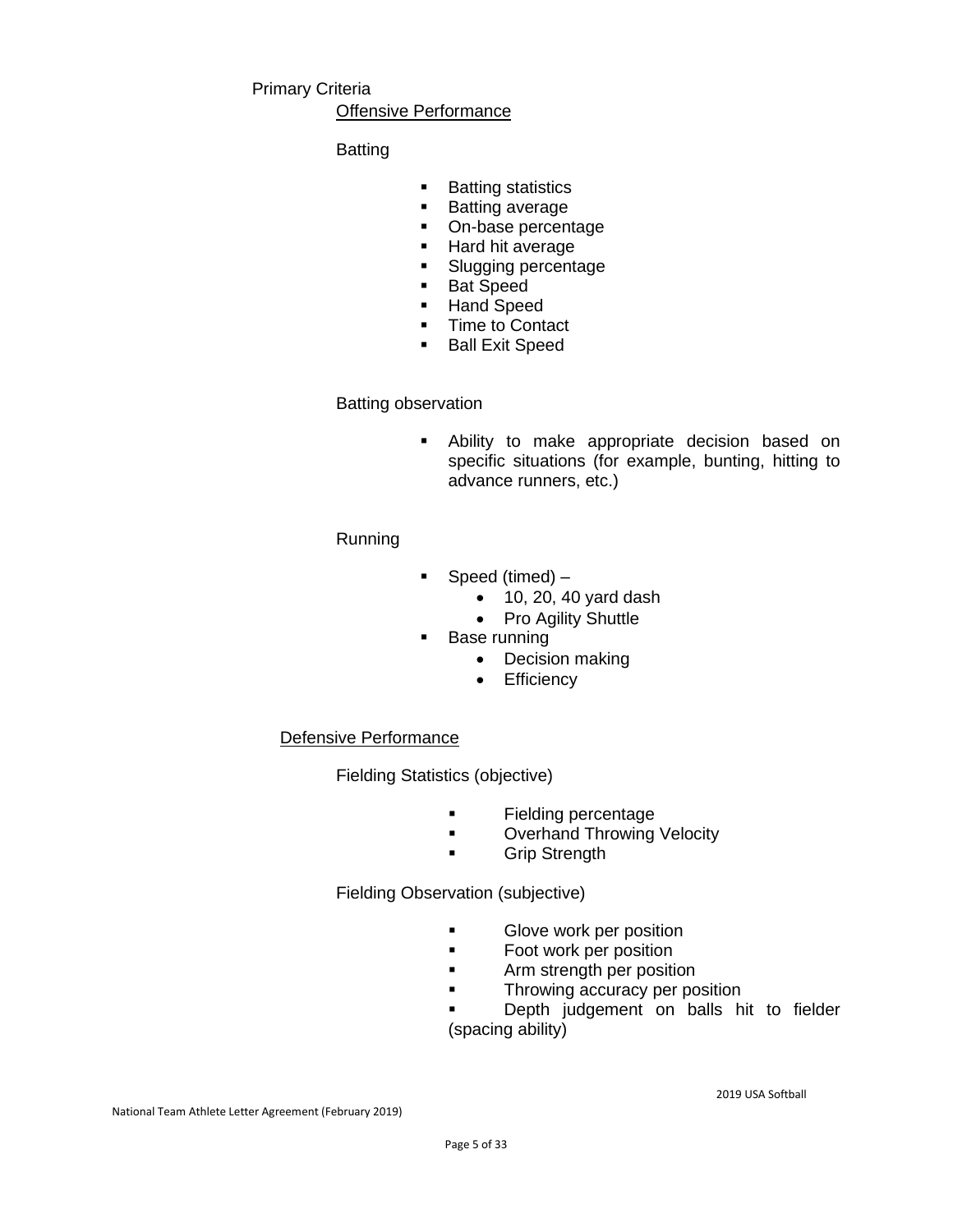#### Primary Criteria

#### Offensive Performance

#### Batting

- Batting statistics
- Batting average
- On-base percentage
- Hard hit average
- Slugging percentage
- Bat Speed
- Hand Speed
- Time to Contact
- Ball Exit Speed

#### Batting observation

▪ Ability to make appropriate decision based on specific situations (for example, bunting, hitting to advance runners, etc.)

#### Running

- Speed (timed)
	- 10, 20, 40 yard dash
	- Pro Agility Shuttle
- Base running
	- Decision making
	- Efficiency

#### Defensive Performance

Fielding Statistics (objective)

- Fielding percentage
- Overhand Throwing Velocity
- Grip Strength

Fielding Observation (subjective)

- **■** Glove work per position
- Foot work per position
- **■** Arm strength per position
- **Throwing accuracy per position**

Depth judgement on balls hit to fielder (spacing ability)

National Team Athlete Letter Agreement (February 2019)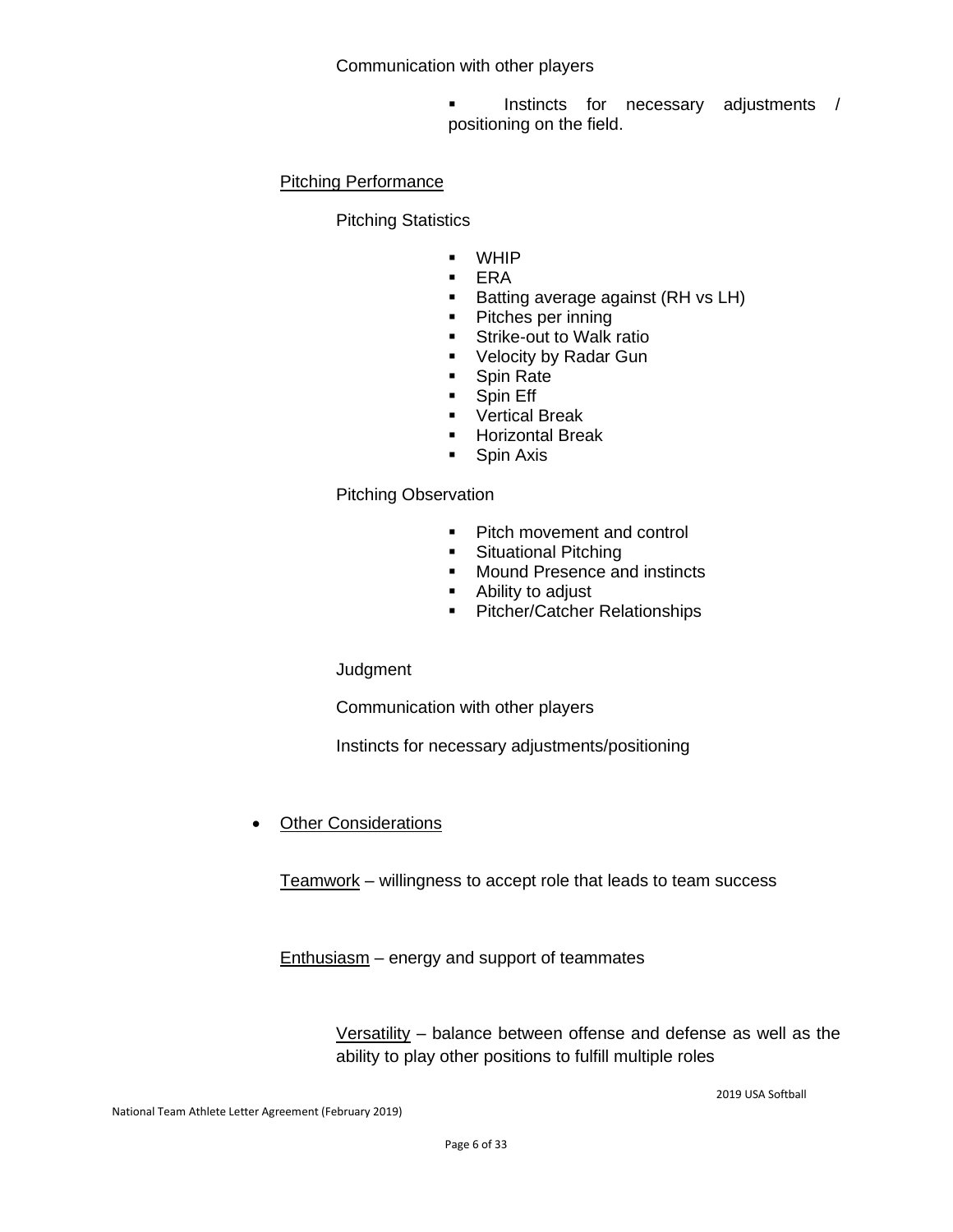Communication with other players

Instincts for necessary adjustments / positioning on the field.

#### Pitching Performance

Pitching Statistics

- WHIP
- ERA
- Batting average against (RH vs LH)
- Pitches per inning
- Strike-out to Walk ratio
- Velocity by Radar Gun
- Spin Rate
- **•** Spin Eff
- Vertical Break
- Horizontal Break
- Spin Axis

#### Pitching Observation

- Pitch movement and control
- **•** Situational Pitching
- Mound Presence and instincts
- Ability to adjust
- Pitcher/Catcher Relationships

**Judgment** 

Communication with other players

Instincts for necessary adjustments/positioning

**Other Considerations** 

Teamwork – willingness to accept role that leads to team success

Enthusiasm – energy and support of teammates

Versatility – balance between offense and defense as well as the ability to play other positions to fulfill multiple roles

2019 USA Softball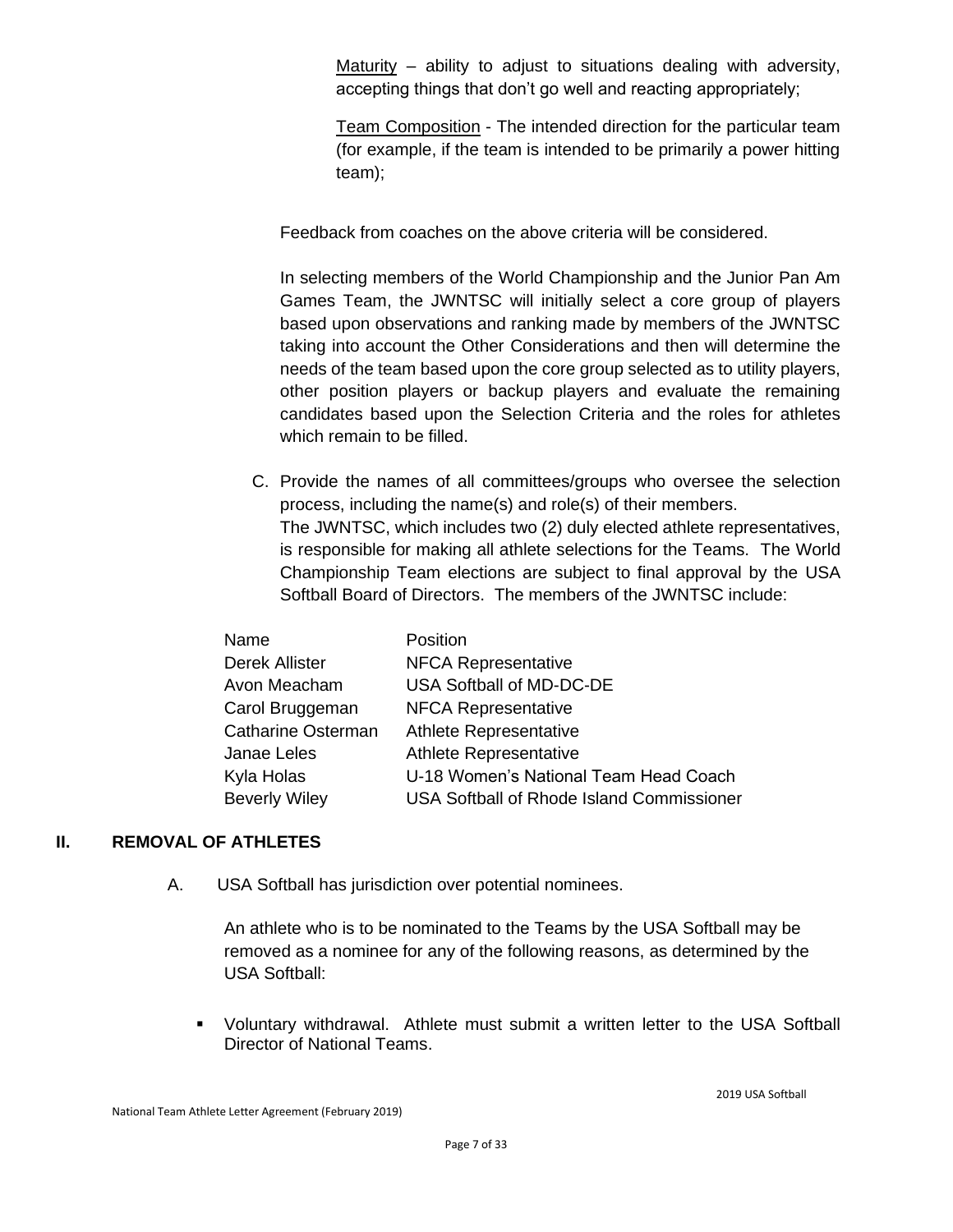Maturity – ability to adjust to situations dealing with adversity, accepting things that don't go well and reacting appropriately;

Team Composition - The intended direction for the particular team (for example, if the team is intended to be primarily a power hitting team);

Feedback from coaches on the above criteria will be considered.

In selecting members of the World Championship and the Junior Pan Am Games Team, the JWNTSC will initially select a core group of players based upon observations and ranking made by members of the JWNTSC taking into account the Other Considerations and then will determine the needs of the team based upon the core group selected as to utility players, other position players or backup players and evaluate the remaining candidates based upon the Selection Criteria and the roles for athletes which remain to be filled.

C. Provide the names of all committees/groups who oversee the selection process, including the name(s) and role(s) of their members. The JWNTSC, which includes two (2) duly elected athlete representatives, is responsible for making all athlete selections for the Teams. The World Championship Team elections are subject to final approval by the USA Softball Board of Directors. The members of the JWNTSC include:

| Name                      | Position                                         |
|---------------------------|--------------------------------------------------|
| <b>Derek Allister</b>     | <b>NFCA Representative</b>                       |
| Avon Meacham              | USA Softball of MD-DC-DE                         |
| Carol Bruggeman           | <b>NFCA Representative</b>                       |
| <b>Catharine Osterman</b> | Athlete Representative                           |
| Janae Leles               | Athlete Representative                           |
| Kyla Holas                | U-18 Women's National Team Head Coach            |
| <b>Beverly Wiley</b>      | <b>USA Softball of Rhode Island Commissioner</b> |

#### **II. REMOVAL OF ATHLETES**

A. USA Softball has jurisdiction over potential nominees.

An athlete who is to be nominated to the Teams by the USA Softball may be removed as a nominee for any of the following reasons, as determined by the USA Softball:

▪ Voluntary withdrawal. Athlete must submit a written letter to the USA Softball Director of National Teams.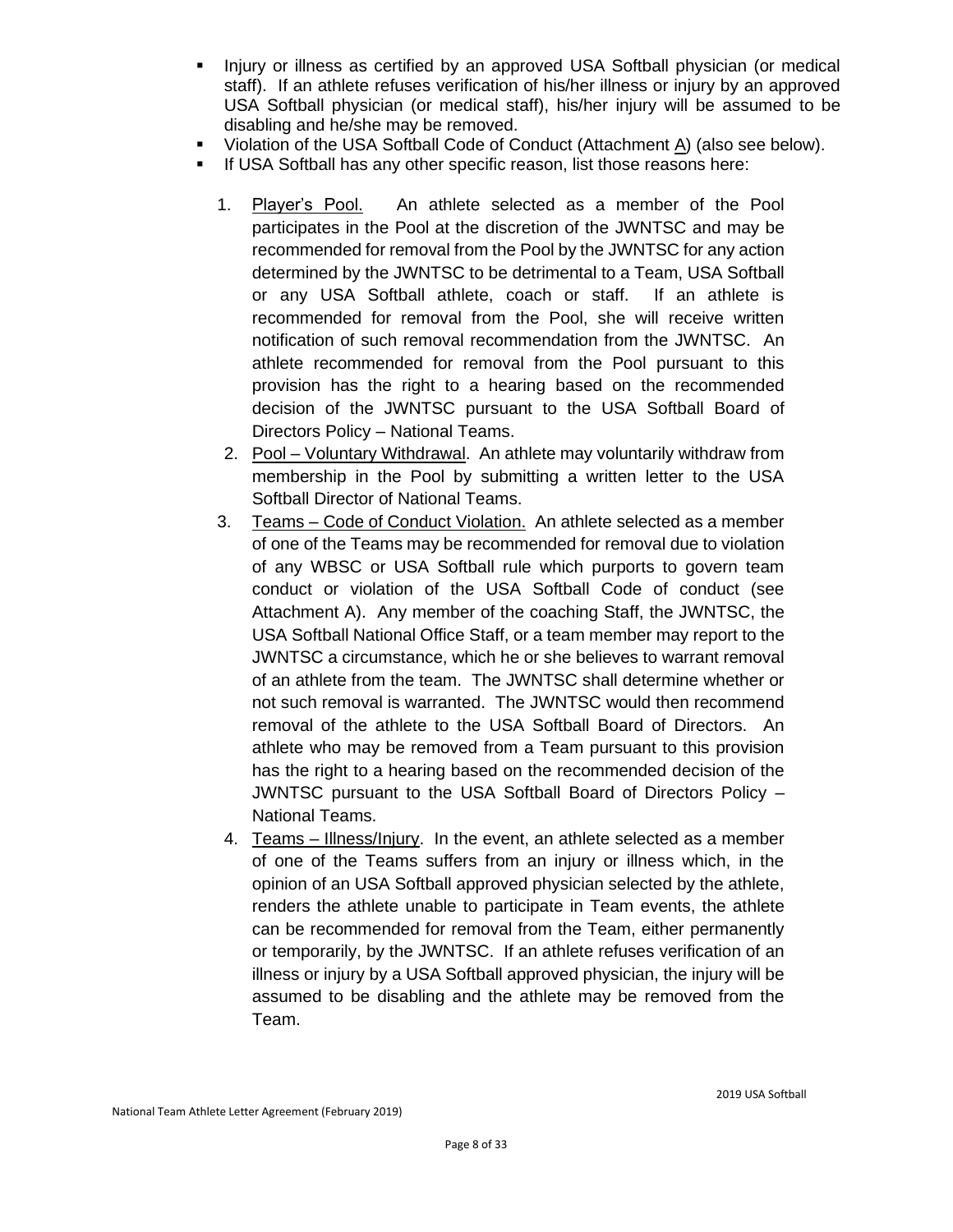- Injury or illness as certified by an approved USA Softball physician (or medical staff). If an athlete refuses verification of his/her illness or injury by an approved USA Softball physician (or medical staff), his/her injury will be assumed to be disabling and he/she may be removed.
- Violation of the USA Softball Code of Conduct (Attachment A) (also see below).
- If USA Softball has any other specific reason, list those reasons here:
	- 1. Player's Pool. An athlete selected as a member of the Pool participates in the Pool at the discretion of the JWNTSC and may be recommended for removal from the Pool by the JWNTSC for any action determined by the JWNTSC to be detrimental to a Team, USA Softball or any USA Softball athlete, coach or staff. If an athlete is recommended for removal from the Pool, she will receive written notification of such removal recommendation from the JWNTSC. An athlete recommended for removal from the Pool pursuant to this provision has the right to a hearing based on the recommended decision of the JWNTSC pursuant to the USA Softball Board of Directors Policy – National Teams.
	- 2. Pool Voluntary Withdrawal. An athlete may voluntarily withdraw from membership in the Pool by submitting a written letter to the USA Softball Director of National Teams.
	- 3. Teams Code of Conduct Violation. An athlete selected as a member of one of the Teams may be recommended for removal due to violation of any WBSC or USA Softball rule which purports to govern team conduct or violation of the USA Softball Code of conduct (see Attachment A). Any member of the coaching Staff, the JWNTSC, the USA Softball National Office Staff, or a team member may report to the JWNTSC a circumstance, which he or she believes to warrant removal of an athlete from the team. The JWNTSC shall determine whether or not such removal is warranted. The JWNTSC would then recommend removal of the athlete to the USA Softball Board of Directors. An athlete who may be removed from a Team pursuant to this provision has the right to a hearing based on the recommended decision of the JWNTSC pursuant to the USA Softball Board of Directors Policy – National Teams.
	- 4. Teams Illness/Injury. In the event, an athlete selected as a member of one of the Teams suffers from an injury or illness which, in the opinion of an USA Softball approved physician selected by the athlete, renders the athlete unable to participate in Team events, the athlete can be recommended for removal from the Team, either permanently or temporarily, by the JWNTSC. If an athlete refuses verification of an illness or injury by a USA Softball approved physician, the injury will be assumed to be disabling and the athlete may be removed from the Team.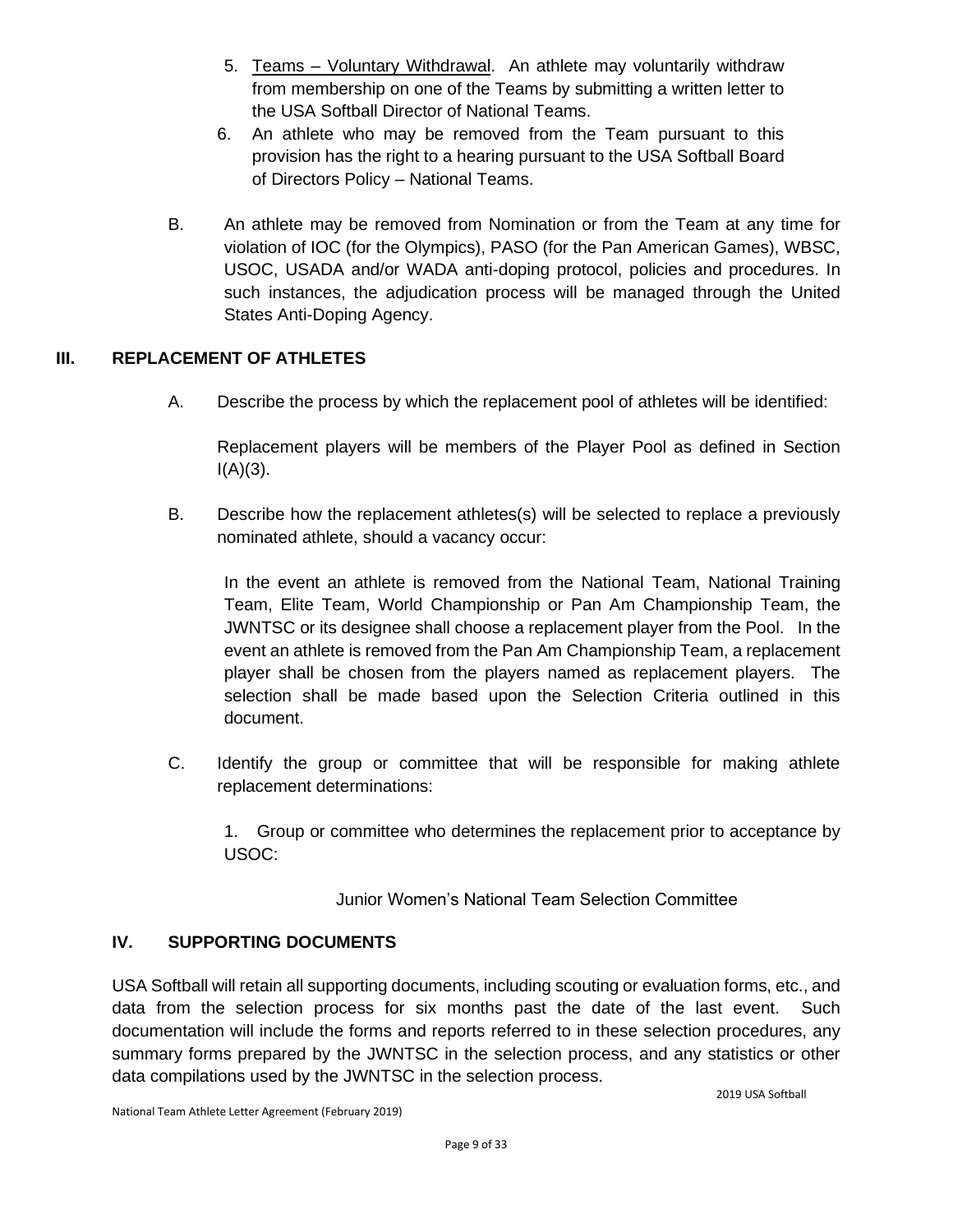- 5. Teams Voluntary Withdrawal. An athlete may voluntarily withdraw from membership on one of the Teams by submitting a written letter to the USA Softball Director of National Teams.
- 6. An athlete who may be removed from the Team pursuant to this provision has the right to a hearing pursuant to the USA Softball Board of Directors Policy – National Teams.
- B. An athlete may be removed from Nomination or from the Team at any time for violation of IOC (for the Olympics), PASO (for the Pan American Games), WBSC, USOC, USADA and/or WADA anti-doping protocol, policies and procedures. In such instances, the adjudication process will be managed through the United States Anti-Doping Agency.

#### **III. REPLACEMENT OF ATHLETES**

A. Describe the process by which the replacement pool of athletes will be identified:

Replacement players will be members of the Player Pool as defined in Section  $I(A)(3)$ .

B. Describe how the replacement athletes(s) will be selected to replace a previously nominated athlete, should a vacancy occur:

In the event an athlete is removed from the National Team, National Training Team, Elite Team, World Championship or Pan Am Championship Team, the JWNTSC or its designee shall choose a replacement player from the Pool. In the event an athlete is removed from the Pan Am Championship Team, a replacement player shall be chosen from the players named as replacement players. The selection shall be made based upon the Selection Criteria outlined in this document.

C. Identify the group or committee that will be responsible for making athlete replacement determinations:

1. Group or committee who determines the replacement prior to acceptance by USOC:

Junior Women's National Team Selection Committee

#### **IV. SUPPORTING DOCUMENTS**

USA Softball will retain all supporting documents, including scouting or evaluation forms, etc., and data from the selection process for six months past the date of the last event. Such documentation will include the forms and reports referred to in these selection procedures, any summary forms prepared by the JWNTSC in the selection process, and any statistics or other data compilations used by the JWNTSC in the selection process.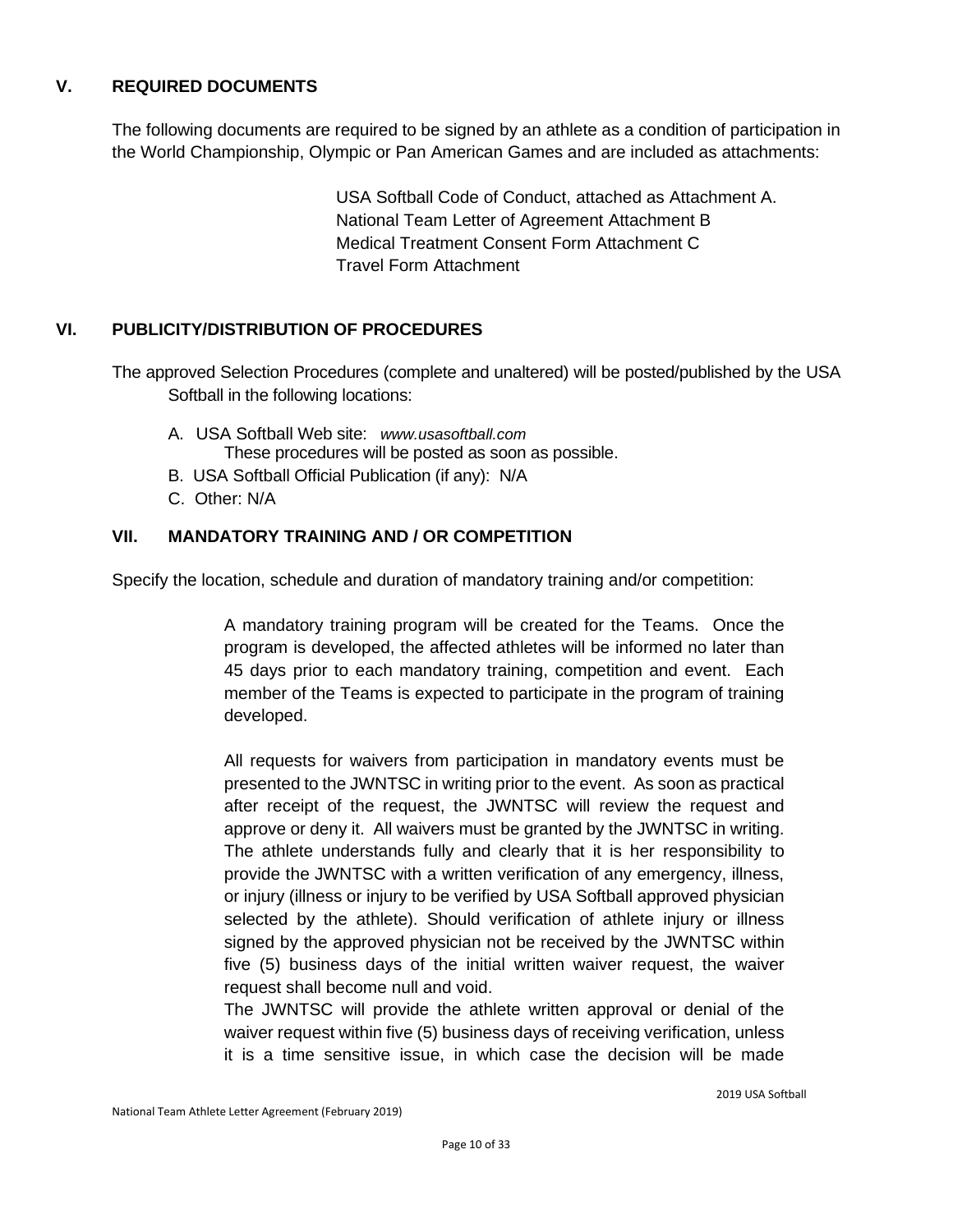#### **V. REQUIRED DOCUMENTS**

The following documents are required to be signed by an athlete as a condition of participation in the World Championship, Olympic or Pan American Games and are included as attachments:

> USA Softball Code of Conduct, attached as Attachment A. National Team Letter of Agreement Attachment B Medical Treatment Consent Form Attachment C Travel Form Attachment

#### **VI. PUBLICITY/DISTRIBUTION OF PROCEDURES**

The approved Selection Procedures (complete and unaltered) will be posted/published by the USA Softball in the following locations:

- A. USA Softball Web site: *[www.usasoftball.com](http://www.usasoftball.com/)* These procedures will be posted as soon as possible.
- B. USA Softball Official Publication (if any): N/A
- C. Other: N/A

#### **VII. MANDATORY TRAINING AND / OR COMPETITION**

Specify the location, schedule and duration of mandatory training and/or competition:

A mandatory training program will be created for the Teams. Once the program is developed, the affected athletes will be informed no later than 45 days prior to each mandatory training, competition and event. Each member of the Teams is expected to participate in the program of training developed.

All requests for waivers from participation in mandatory events must be presented to the JWNTSC in writing prior to the event. As soon as practical after receipt of the request, the JWNTSC will review the request and approve or deny it. All waivers must be granted by the JWNTSC in writing. The athlete understands fully and clearly that it is her responsibility to provide the JWNTSC with a written verification of any emergency, illness, or injury (illness or injury to be verified by USA Softball approved physician selected by the athlete). Should verification of athlete injury or illness signed by the approved physician not be received by the JWNTSC within five (5) business days of the initial written waiver request, the waiver request shall become null and void.

The JWNTSC will provide the athlete written approval or denial of the waiver request within five (5) business days of receiving verification, unless it is a time sensitive issue, in which case the decision will be made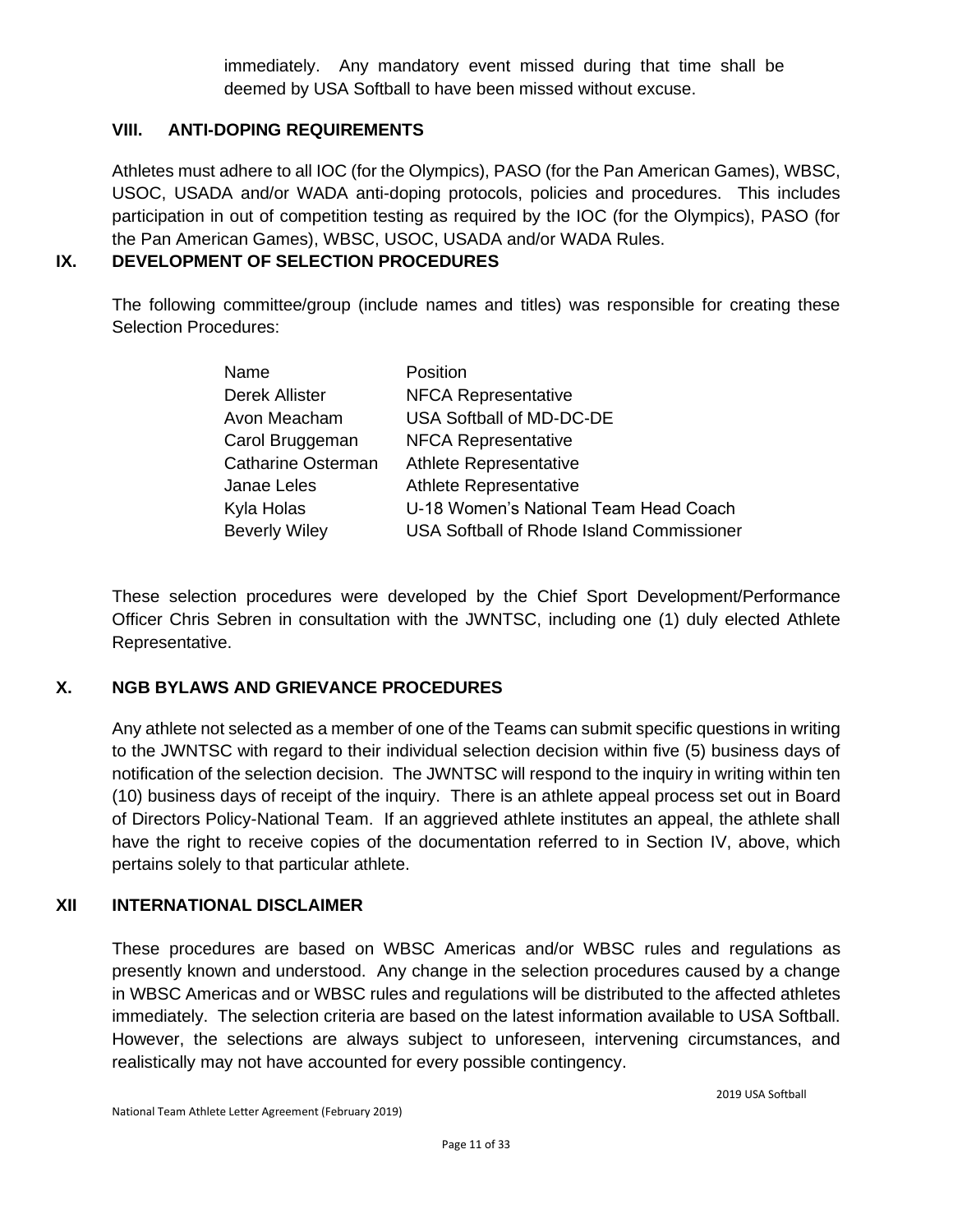immediately. Any mandatory event missed during that time shall be deemed by USA Softball to have been missed without excuse.

#### **VIII. ANTI-DOPING REQUIREMENTS**

Athletes must adhere to all IOC (for the Olympics), PASO (for the Pan American Games), WBSC, USOC, USADA and/or WADA anti-doping protocols, policies and procedures. This includes participation in out of competition testing as required by the IOC (for the Olympics), PASO (for the Pan American Games), WBSC, USOC, USADA and/or WADA Rules.

#### **IX. DEVELOPMENT OF SELECTION PROCEDURES**

The following committee/group (include names and titles) was responsible for creating these Selection Procedures:

| Name                 | Position                                  |
|----------------------|-------------------------------------------|
| Derek Allister       | <b>NFCA Representative</b>                |
| Avon Meacham         | USA Softball of MD-DC-DE                  |
| Carol Bruggeman      | <b>NFCA Representative</b>                |
| Catharine Osterman   | Athlete Representative                    |
| Janae Leles          | Athlete Representative                    |
| Kyla Holas           | U-18 Women's National Team Head Coach     |
| <b>Beverly Wiley</b> | USA Softball of Rhode Island Commissioner |

These selection procedures were developed by the Chief Sport Development/Performance Officer Chris Sebren in consultation with the JWNTSC, including one (1) duly elected Athlete Representative.

#### **X. NGB BYLAWS AND GRIEVANCE PROCEDURES**

Any athlete not selected as a member of one of the Teams can submit specific questions in writing to the JWNTSC with regard to their individual selection decision within five (5) business days of notification of the selection decision. The JWNTSC will respond to the inquiry in writing within ten (10) business days of receipt of the inquiry. There is an athlete appeal process set out in Board of Directors Policy-National Team. If an aggrieved athlete institutes an appeal, the athlete shall have the right to receive copies of the documentation referred to in Section IV, above, which pertains solely to that particular athlete.

#### **XII INTERNATIONAL DISCLAIMER**

These procedures are based on WBSC Americas and/or WBSC rules and regulations as presently known and understood. Any change in the selection procedures caused by a change in WBSC Americas and or WBSC rules and regulations will be distributed to the affected athletes immediately. The selection criteria are based on the latest information available to USA Softball. However, the selections are always subject to unforeseen, intervening circumstances, and realistically may not have accounted for every possible contingency.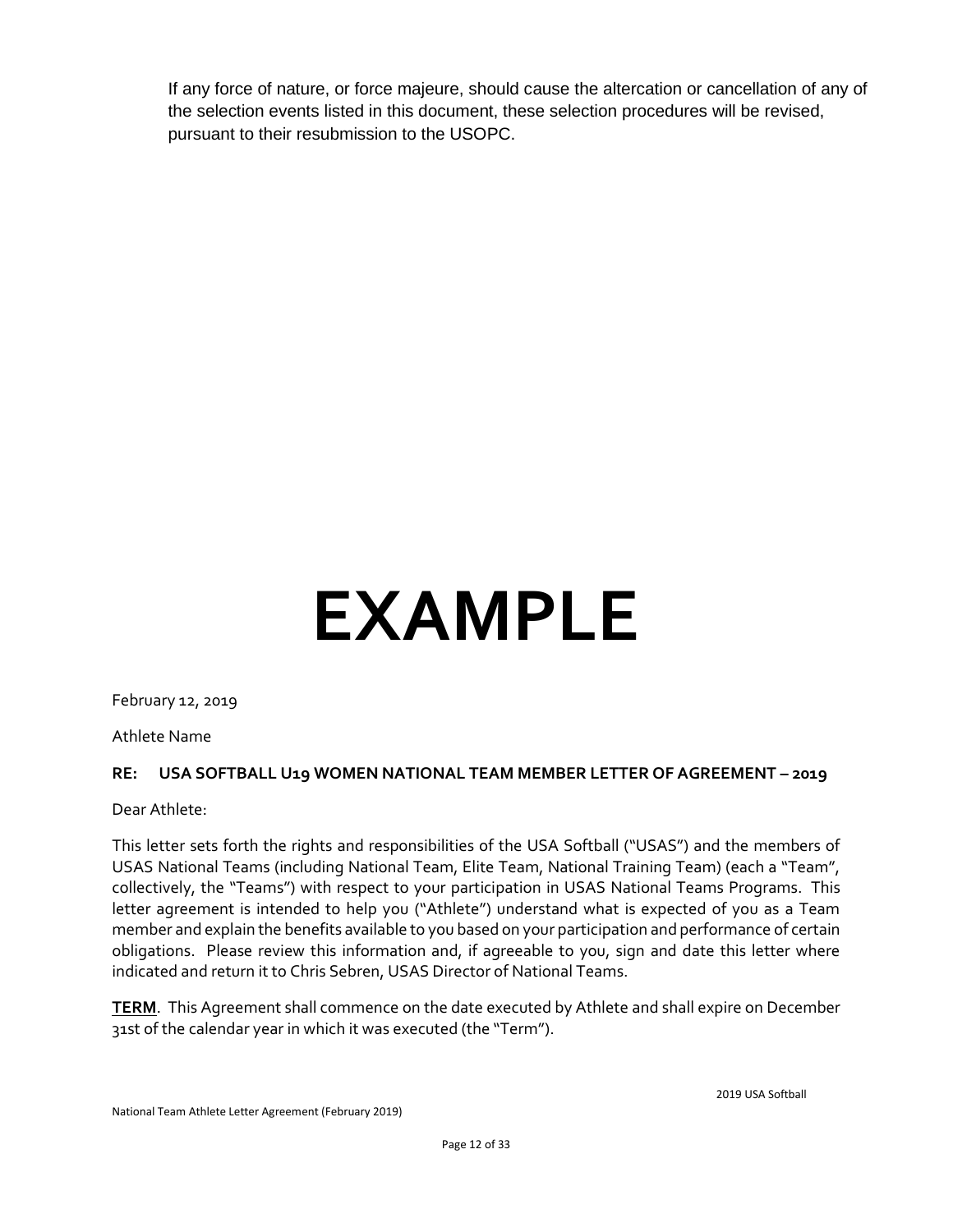If any force of nature, or force majeure, should cause the altercation or cancellation of any of the selection events listed in this document, these selection procedures will be revised, pursuant to their resubmission to the USOPC.

# **EXAMPLE**

February 12, 2019

Athlete Name

#### **RE: USA SOFTBALL U19 WOMEN NATIONAL TEAM MEMBER LETTER OF AGREEMENT – 2019**

Dear Athlete:

This letter sets forth the rights and responsibilities of the USA Softball ("USAS") and the members of USAS National Teams (including National Team, Elite Team, National Training Team) (each a "Team", collectively, the "Teams") with respect to your participation in USAS National Teams Programs. This letter agreement is intended to help you ("Athlete") understand what is expected of you as a Team member and explain the benefits available to you based on your participation and performance of certain obligations. Please review this information and, if agreeable to you, sign and date this letter where indicated and return it to Chris Sebren, USAS Director of National Teams.

**TERM**. This Agreement shall commence on the date executed by Athlete and shall expire on December 31st of the calendar year in which it was executed (the "Term").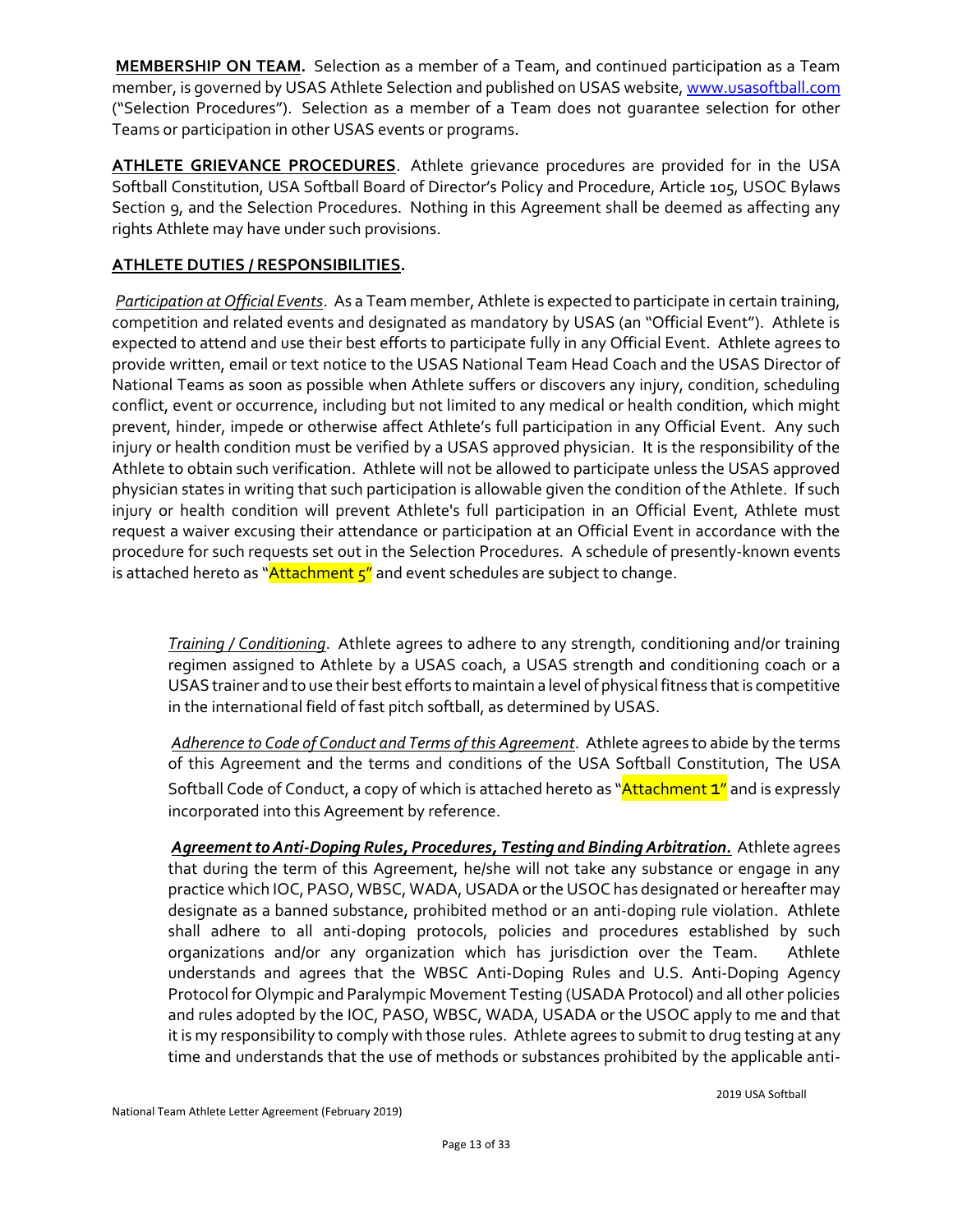**MEMBERSHIP ON TEAM.** Selection as a member of a Team, and continued participation as a Team member, is governed by USAS Athlete Selection and published on USAS website, www.usasoftball.com ("Selection Procedures"). Selection as a member of a Team does not guarantee selection for other Teams or participation in other USAS events or programs.

**ATHLETE GRIEVANCE PROCEDURES**. Athlete grievance procedures are provided for in the USA Softball Constitution, USA Softball Board of Director's Policy and Procedure, Article 105, USOC Bylaws Section 9, and the Selection Procedures. Nothing in this Agreement shall be deemed as affecting any rights Athlete may have under such provisions.

#### **ATHLETE DUTIES / RESPONSIBILITIES.**

*Participation at Official Events*. As a Team member, Athlete is expected to participate in certain training, competition and related events and designated as mandatory by USAS (an "Official Event"). Athlete is expected to attend and use their best efforts to participate fully in any Official Event. Athlete agrees to provide written, email or text notice to the USAS National Team Head Coach and the USAS Director of National Teams as soon as possible when Athlete suffers or discovers any injury, condition, scheduling conflict, event or occurrence, including but not limited to any medical or health condition, which might prevent, hinder, impede or otherwise affect Athlete's full participation in any Official Event. Any such injury or health condition must be verified by a USAS approved physician. It is the responsibility of the Athlete to obtain such verification. Athlete will not be allowed to participate unless the USAS approved physician states in writing that such participation is allowable given the condition of the Athlete. If such injury or health condition will prevent Athlete's full participation in an Official Event, Athlete must request a waiver excusing their attendance or participation at an Official Event in accordance with the procedure for such requests set out in the Selection Procedures. A schedule of presently-known events is attached hereto as " $\frac{\text{Attachment } 5''}{\text{and event schedules}}$  are subject to change.

*Training / Conditioning*. Athlete agrees to adhere to any strength, conditioning and/or training regimen assigned to Athlete by a USAS coach, a USAS strength and conditioning coach or a USAS trainer and to use their best efforts to maintain a level of physical fitness that is competitive in the international field of fast pitch softball, as determined by USAS.

*Adherence to Code of Conduct and Terms of this Agreement*. Athlete agrees to abide by the terms of this Agreement and the terms and conditions of the USA Softball Constitution, The USA Softball Code of Conduct, a copy of which is attached hereto as "Attachment 1" and is expressly incorporated into this Agreement by reference.

*Agreement to Anti-Doping Rules, Procedures, Testing and Binding Arbitration.* Athlete agrees that during the term of this Agreement, he/she will not take any substance or engage in any practice which IOC, PASO, WBSC, WADA, USADA or the USOC has designated or hereafter may designate as a banned substance, prohibited method or an anti-doping rule violation. Athlete shall adhere to all anti-doping protocols, policies and procedures established by such organizations and/or any organization which has jurisdiction over the Team. Athlete understands and agrees that the WBSC Anti-Doping Rules and U.S. Anti-Doping Agency Protocol for Olympic and Paralympic Movement Testing (USADA Protocol) and all other policies and rules adopted by the IOC, PASO, WBSC, WADA, USADA or the USOC apply to me and that it is my responsibility to comply with those rules. Athlete agrees to submit to drug testing at any time and understands that the use of methods or substances prohibited by the applicable anti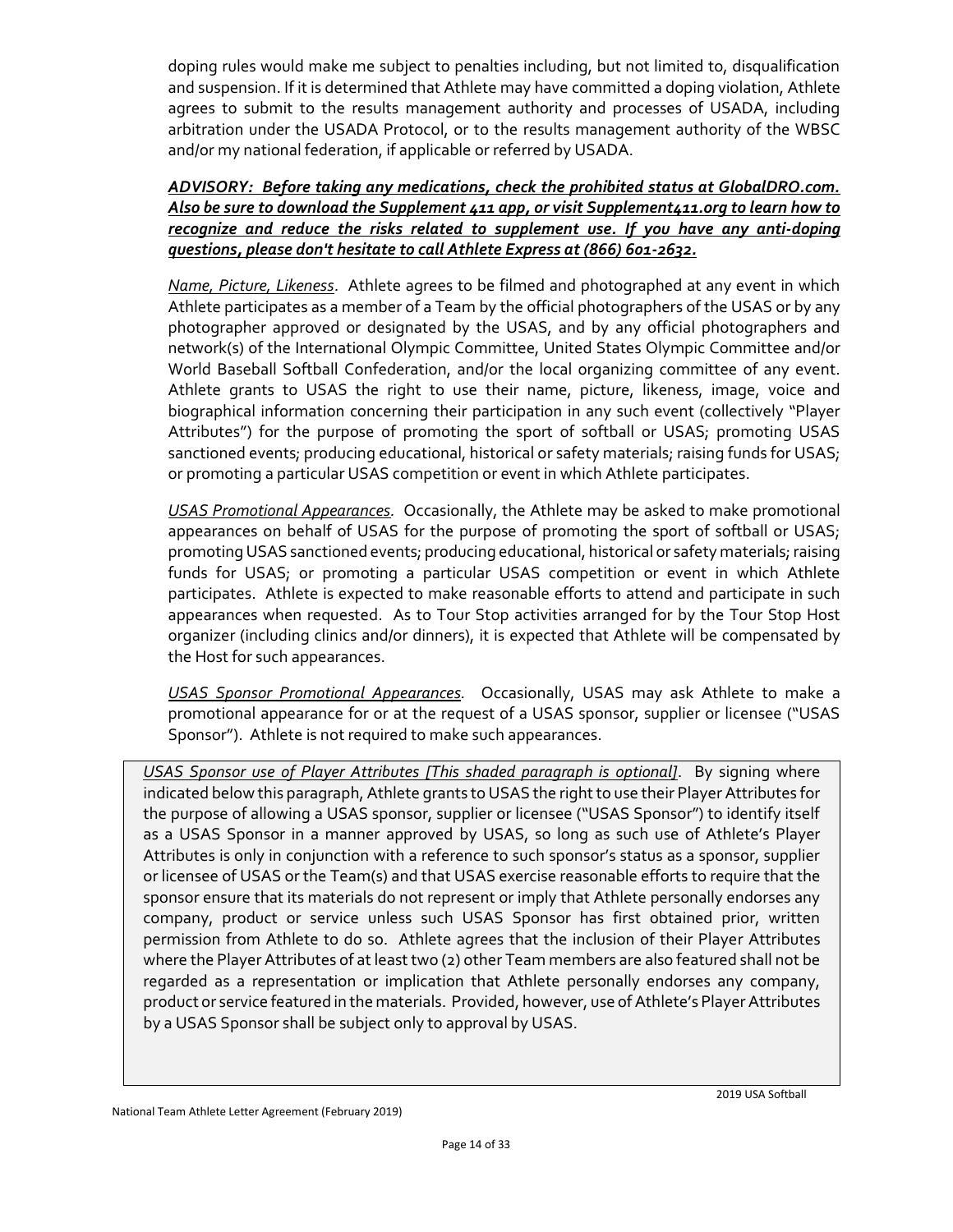doping rules would make me subject to penalties including, but not limited to, disqualification and suspension. If it is determined that Athlete may have committed a doping violation, Athlete agrees to submit to the results management authority and processes of USADA, including arbitration under the USADA Protocol, or to the results management authority of the WBSC and/or my national federation, if applicable or referred by USADA.

#### *ADVISORY: Before taking any medications, check the prohibited status at GlobalDRO.com. Also be sure to download the Supplement 411 app, or visit Supplement411.org to learn how to recognize and reduce the risks related to supplement use. If you have any anti-doping questions, please don't hesitate to call Athlete Express at (866) 601-2632.*

*Name, Picture, Likeness*. Athlete agrees to be filmed and photographed at any event in which Athlete participates as a member of a Team by the official photographers of the USAS or by any photographer approved or designated by the USAS, and by any official photographers and network(s) of the International Olympic Committee, United States Olympic Committee and/or World Baseball Softball Confederation, and/or the local organizing committee of any event. Athlete grants to USAS the right to use their name, picture, likeness, image, voice and biographical information concerning their participation in any such event (collectively "Player Attributes") for the purpose of promoting the sport of softball or USAS; promoting USAS sanctioned events; producing educational, historical or safety materials; raising funds for USAS; or promoting a particular USAS competition or event in which Athlete participates.

*USAS Promotional Appearances.* Occasionally, the Athlete may be asked to make promotional appearances on behalf of USAS for the purpose of promoting the sport of softball or USAS; promoting USAS sanctioned events; producing educational, historical or safety materials; raising funds for USAS; or promoting a particular USAS competition or event in which Athlete participates. Athlete is expected to make reasonable efforts to attend and participate in such appearances when requested. As to Tour Stop activities arranged for by the Tour Stop Host organizer (including clinics and/or dinners), it is expected that Athlete will be compensated by the Host for such appearances.

*USAS Sponsor Promotional Appearances.* Occasionally, USAS may ask Athlete to make a promotional appearance for or at the request of a USAS sponsor, supplier or licensee ("USAS Sponsor"). Athlete is not required to make such appearances.

*USAS Sponsor use of Player Attributes [This shaded paragraph is optional]*. By signing where indicated below this paragraph, Athlete grants to USAS the right to use their Player Attributes for the purpose of allowing a USAS sponsor, supplier or licensee ("USAS Sponsor") to identify itself as a USAS Sponsor in a manner approved by USAS, so long as such use of Athlete's Player Attributes is only in conjunction with a reference to such sponsor's status as a sponsor, supplier or licensee of USAS or the Team(s) and that USAS exercise reasonable efforts to require that the sponsor ensure that its materials do not represent or imply that Athlete personally endorses any company, product or service unless such USAS Sponsor has first obtained prior, written permission from Athlete to do so. Athlete agrees that the inclusion of their Player Attributes where the Player Attributes of at least two (2) other Team members are also featured shall not be regarded as a representation or implication that Athlete personally endorses any company, product or service featured in the materials. Provided, however, use of Athlete's Player Attributes by a USAS Sponsor shall be subject only to approval by USAS.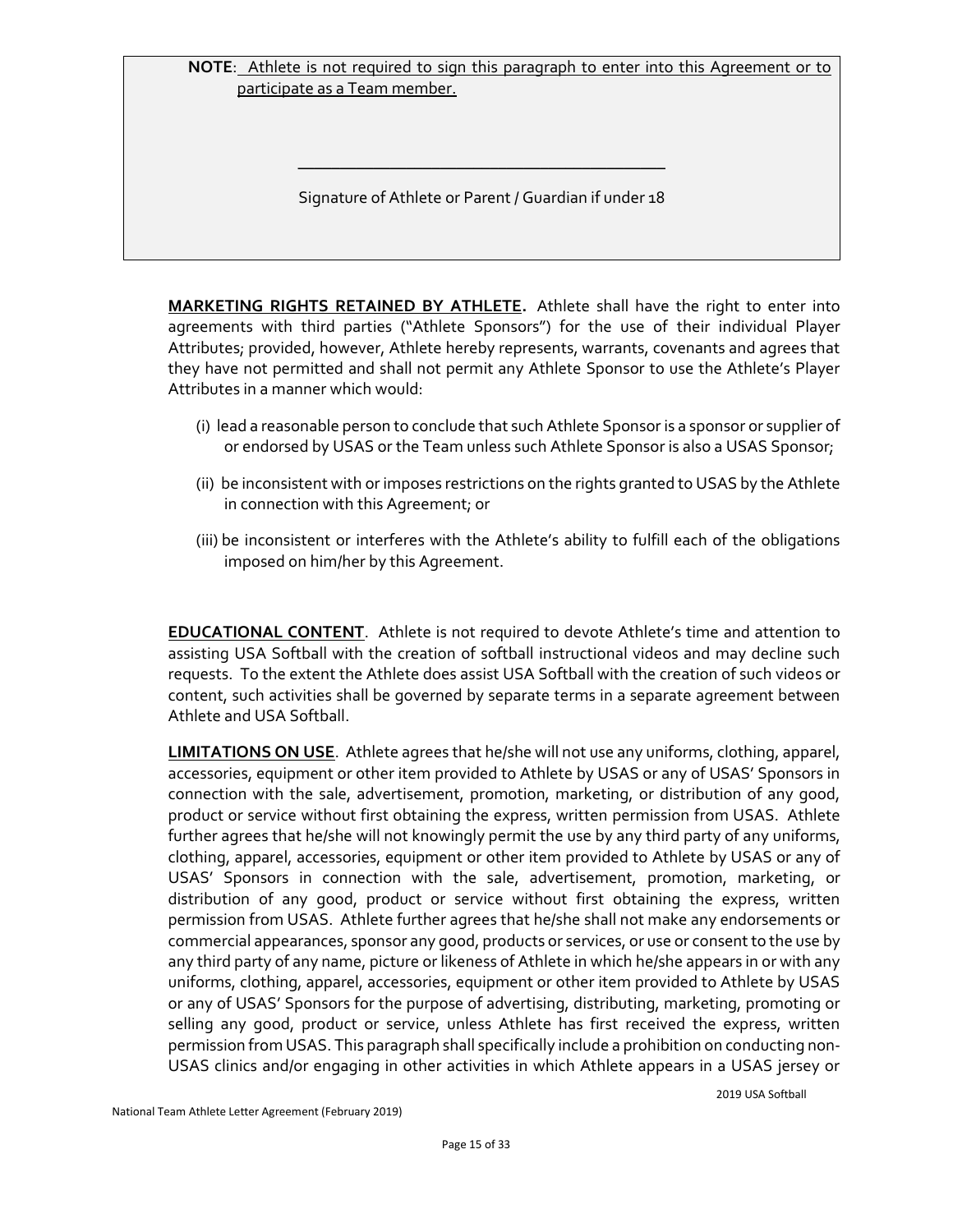#### **NOTE**: Athlete is not required to sign this paragraph to enter into this Agreement or to participate as a Team member.

Signature of Athlete or Parent / Guardian if under 18

\_\_\_\_\_\_\_\_\_\_\_\_\_\_\_\_\_\_\_\_\_\_\_\_\_\_\_\_\_\_\_\_\_\_\_\_\_\_\_\_\_\_\_\_

**MARKETING RIGHTS RETAINED BY ATHLETE.** Athlete shall have the right to enter into agreements with third parties ("Athlete Sponsors") for the use of their individual Player Attributes; provided, however, Athlete hereby represents, warrants, covenants and agrees that they have not permitted and shall not permit any Athlete Sponsor to use the Athlete's Player Attributes in a manner which would:

- (i) lead a reasonable person to conclude that such Athlete Sponsor is a sponsor or supplier of or endorsed by USAS or the Team unless such Athlete Sponsor is also a USAS Sponsor;
- (ii) be inconsistent with or imposes restrictions on the rights granted to USAS by the Athlete in connection with this Agreement; or
- (iii) be inconsistent or interferes with the Athlete's ability to fulfill each of the obligations imposed on him/her by this Agreement.

**EDUCATIONAL CONTENT**. Athlete is not required to devote Athlete's time and attention to assisting USA Softball with the creation of softball instructional videos and may decline such requests. To the extent the Athlete does assist USA Softball with the creation of such videos or content, such activities shall be governed by separate terms in a separate agreement between Athlete and USA Softball.

**LIMITATIONS ON USE**. Athlete agrees that he/she will not use any uniforms, clothing, apparel, accessories, equipment or other item provided to Athlete by USAS or any of USAS' Sponsors in connection with the sale, advertisement, promotion, marketing, or distribution of any good, product or service without first obtaining the express, written permission from USAS. Athlete further agrees that he/she will not knowingly permit the use by any third party of any uniforms, clothing, apparel, accessories, equipment or other item provided to Athlete by USAS or any of USAS' Sponsors in connection with the sale, advertisement, promotion, marketing, or distribution of any good, product or service without first obtaining the express, written permission from USAS. Athlete further agrees that he/she shall not make any endorsements or commercial appearances, sponsor any good, products or services, or use or consent to the use by any third party of any name, picture or likeness of Athlete in which he/she appears in or with any uniforms, clothing, apparel, accessories, equipment or other item provided to Athlete by USAS or any of USAS' Sponsors for the purpose of advertising, distributing, marketing, promoting or selling any good, product or service, unless Athlete has first received the express, written permission from USAS. This paragraph shall specifically include a prohibition on conducting non-USAS clinics and/or engaging in other activities in which Athlete appears in a USAS jersey or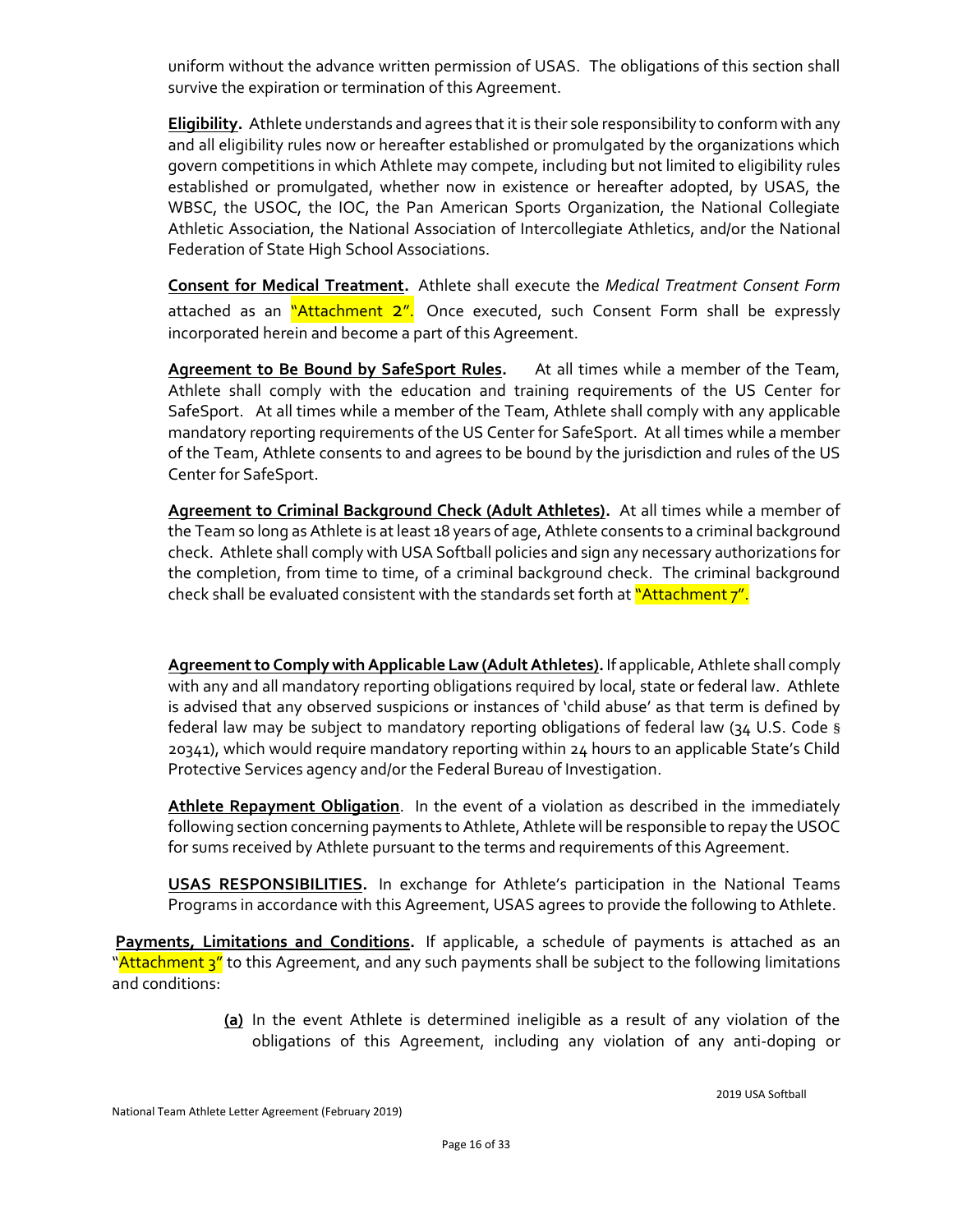uniform without the advance written permission of USAS. The obligations of this section shall survive the expiration or termination of this Agreement.

**Eligibility.** Athlete understands and agrees that it is their sole responsibility to conform with any and all eligibility rules now or hereafter established or promulgated by the organizations which govern competitions in which Athlete may compete, including but not limited to eligibility rules established or promulgated, whether now in existence or hereafter adopted, by USAS, the WBSC, the USOC, the IOC, the Pan American Sports Organization, the National Collegiate Athletic Association, the National Association of Intercollegiate Athletics, and/or the National Federation of State High School Associations.

**Consent for Medical Treatment.** Athlete shall execute the *Medical Treatment Consent Form* attached as an "Attachment 2". Once executed, such Consent Form shall be expressly incorporated herein and become a part of this Agreement.

**Agreement to Be Bound by SafeSport Rules.** At all times while a member of the Team, Athlete shall comply with the education and training requirements of the US Center for SafeSport. At all times while a member of the Team, Athlete shall comply with any applicable mandatory reporting requirements of the US Center for SafeSport. At all times while a member of the Team, Athlete consents to and agrees to be bound by the jurisdiction and rules of the US Center for SafeSport.

**Agreement to Criminal Background Check (Adult Athletes).** At all times while a member of the Team so long as Athlete is at least 18 years of age, Athlete consents to a criminal background check. Athlete shall comply with USA Softball policies and sign any necessary authorizations for the completion, from time to time, of a criminal background check. The criminal background check shall be evaluated consistent with the standards set forth at "Attachment 7".

**Agreement to Comply with Applicable Law (Adult Athletes).**If applicable, Athlete shall comply with any and all mandatory reporting obligations required by local, state or federal law. Athlete is advised that any observed suspicions or instances of 'child abuse' as that term is defined by federal law may be subject to mandatory reporting obligations of federal law (34 U.S. Code § 20341), which would require mandatory reporting within 24 hours to an applicable State's Child Protective Services agency and/or the Federal Bureau of Investigation.

**Athlete Repayment Obligation**. In the event of a violation as described in the immediately following section concerning payments to Athlete, Athlete will be responsible to repay the USOC for sums received by Athlete pursuant to the terms and requirements of this Agreement.

**USAS RESPONSIBILITIES.** In exchange for Athlete's participation in the National Teams Programs in accordance with this Agreement, USAS agrees to provide the following to Athlete.

Payments, Limitations and Conditions. If applicable, a schedule of payments is attached as an "Attachment 3" to this Agreement, and any such payments shall be subject to the following limitations and conditions:

> **(a)** In the event Athlete is determined ineligible as a result of any violation of the obligations of this Agreement, including any violation of any anti-doping or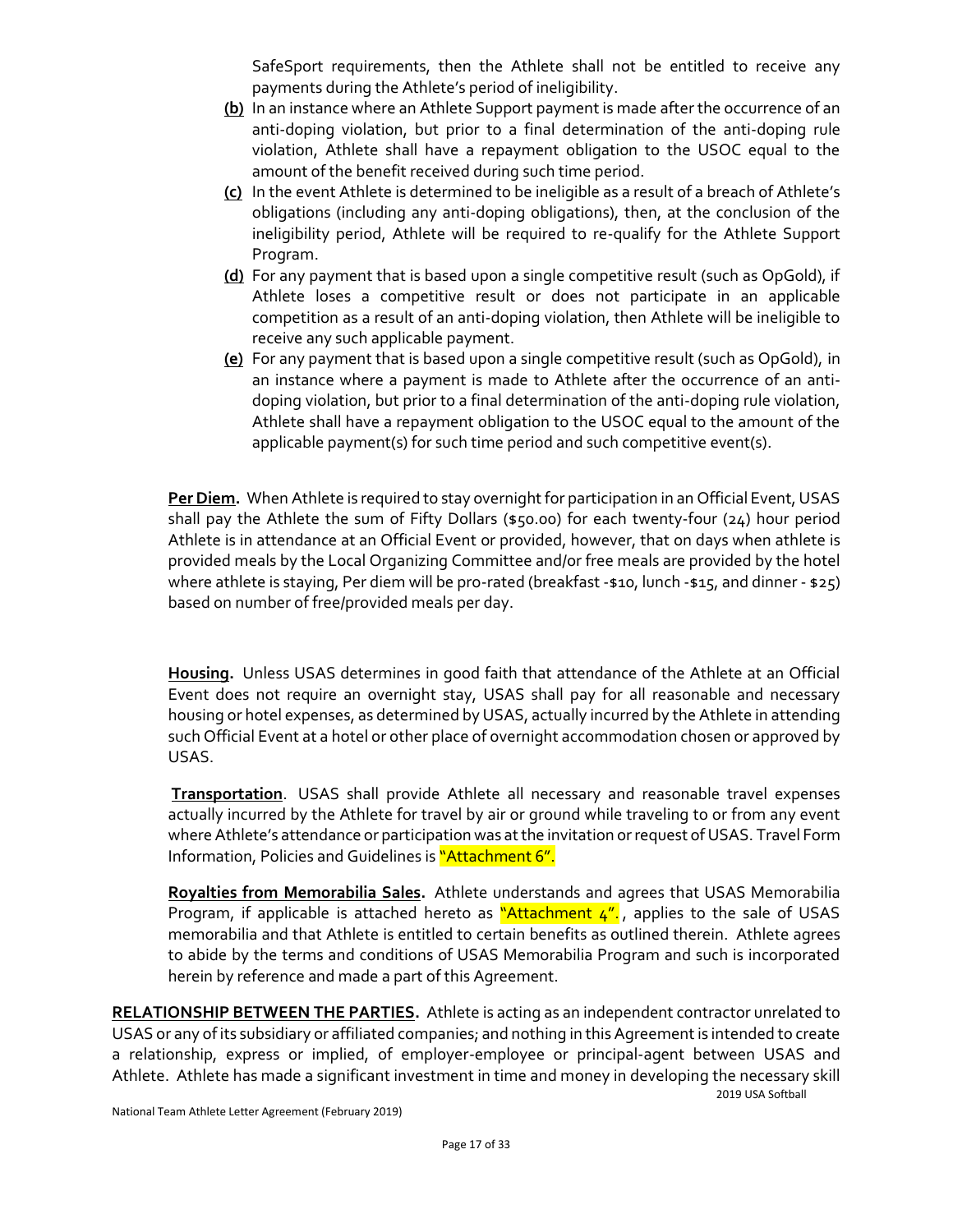SafeSport requirements, then the Athlete shall not be entitled to receive any payments during the Athlete's period of ineligibility.

- **(b)** In an instance where an Athlete Support payment is made after the occurrence of an anti-doping violation, but prior to a final determination of the anti-doping rule violation, Athlete shall have a repayment obligation to the USOC equal to the amount of the benefit received during such time period.
- **(c)** In the event Athlete is determined to be ineligible as a result of a breach of Athlete's obligations (including any anti-doping obligations), then, at the conclusion of the ineligibility period, Athlete will be required to re-qualify for the Athlete Support Program.
- **(d)** For any payment that is based upon a single competitive result (such as OpGold), if Athlete loses a competitive result or does not participate in an applicable competition as a result of an anti-doping violation, then Athlete will be ineligible to receive any such applicable payment.
- **(e)** For any payment that is based upon a single competitive result (such as OpGold), in an instance where a payment is made to Athlete after the occurrence of an antidoping violation, but prior to a final determination of the anti-doping rule violation, Athlete shall have a repayment obligation to the USOC equal to the amount of the applicable payment(s) for such time period and such competitive event(s).

**Per Diem.** When Athlete is required to stay overnight for participation in an Official Event, USAS shall pay the Athlete the sum of Fifty Dollars (\$50.00) for each twenty-four (24) hour period Athlete is in attendance at an Official Event or provided, however, that on days when athlete is provided meals by the Local Organizing Committee and/or free meals are provided by the hotel where athlete is staying, Per diem will be pro-rated (breakfast -\$10, lunch -\$15, and dinner - \$25) based on number of free/provided meals per day.

**Housing.** Unless USAS determines in good faith that attendance of the Athlete at an Official Event does not require an overnight stay, USAS shall pay for all reasonable and necessary housing or hotel expenses, as determined by USAS, actually incurred by the Athlete in attending such Official Event at a hotel or other place of overnight accommodation chosen or approved by USAS.

**Transportation**. USAS shall provide Athlete all necessary and reasonable travel expenses actually incurred by the Athlete for travel by air or ground while traveling to or from any event where Athlete's attendance or participation was at the invitation or request of USAS. Travel Form Information, Policies and Guidelines is "Attachment 6".

**Royalties from Memorabilia Sales.** Athlete understands and agrees that USAS Memorabilia Program, if applicable is attached hereto as "Attachment  $4^{\prime\prime}$ , applies to the sale of USAS memorabilia and that Athlete is entitled to certain benefits as outlined therein. Athlete agrees to abide by the terms and conditions of USAS Memorabilia Program and such is incorporated herein by reference and made a part of this Agreement.

**RELATIONSHIP BETWEEN THE PARTIES.** Athlete is acting as an independent contractor unrelated to USAS or any of its subsidiary or affiliated companies; and nothing in this Agreement is intended to create a relationship, express or implied, of employer-employee or principal-agent between USAS and Athlete. Athlete has made a significant investment in time and money in developing the necessary skill

2019 USA Softball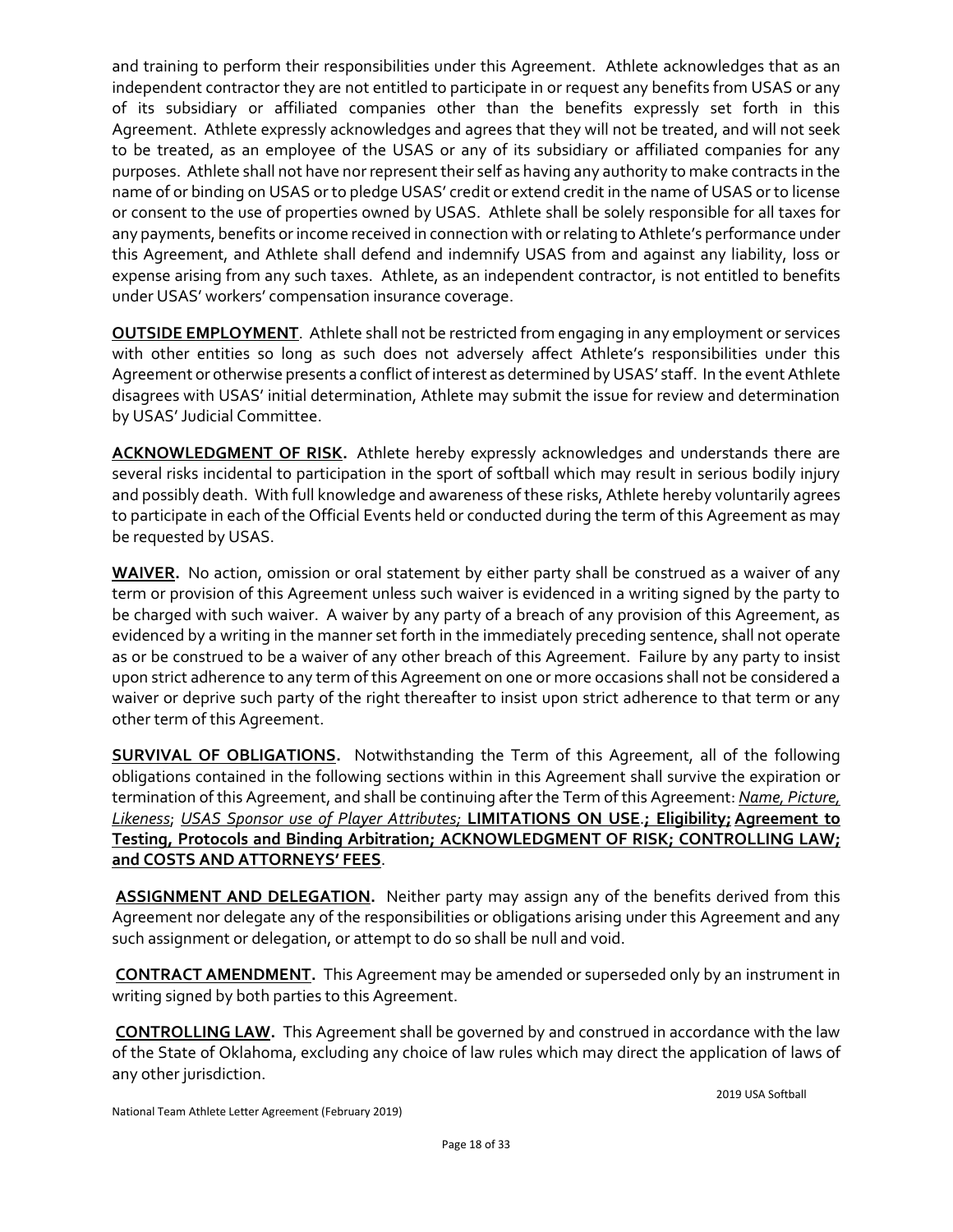and training to perform their responsibilities under this Agreement. Athlete acknowledges that as an independent contractor they are not entitled to participate in or request any benefits from USAS or any of its subsidiary or affiliated companies other than the benefits expressly set forth in this Agreement. Athlete expressly acknowledges and agrees that they will not be treated, and will not seek to be treated, as an employee of the USAS or any of its subsidiary or affiliated companies for any purposes. Athlete shall not have nor represent their self as having any authority to make contracts in the name of or binding on USAS or to pledge USAS' credit or extend credit in the name of USAS or to license or consent to the use of properties owned by USAS. Athlete shall be solely responsible for all taxes for any payments, benefits or income received in connection with or relating to Athlete's performance under this Agreement, and Athlete shall defend and indemnify USAS from and against any liability, loss or expense arising from any such taxes. Athlete, as an independent contractor, is not entitled to benefits under USAS' workers' compensation insurance coverage.

**OUTSIDE EMPLOYMENT**. Athlete shall not be restricted from engaging in any employment or services with other entities so long as such does not adversely affect Athlete's responsibilities under this Agreement or otherwise presents a conflict of interest as determined by USAS' staff. In the event Athlete disagrees with USAS' initial determination, Athlete may submit the issue for review and determination by USAS' Judicial Committee.

**ACKNOWLEDGMENT OF RISK.** Athlete hereby expressly acknowledges and understands there are several risks incidental to participation in the sport of softball which may result in serious bodily injury and possibly death. With full knowledge and awareness of these risks, Athlete hereby voluntarily agrees to participate in each of the Official Events held or conducted during the term of this Agreement as may be requested by USAS.

**WAIVER.** No action, omission or oral statement by either party shall be construed as a waiver of any term or provision of this Agreement unless such waiver is evidenced in a writing signed by the party to be charged with such waiver. A waiver by any party of a breach of any provision of this Agreement, as evidenced by a writing in the manner set forth in the immediately preceding sentence, shall not operate as or be construed to be a waiver of any other breach of this Agreement. Failure by any party to insist upon strict adherence to any term of this Agreement on one or more occasions shall not be considered a waiver or deprive such party of the right thereafter to insist upon strict adherence to that term or any other term of this Agreement.

**SURVIVAL OF OBLIGATIONS.** Notwithstanding the Term of this Agreement, all of the following obligations contained in the following sections within in this Agreement shall survive the expiration or termination of this Agreement, and shall be continuing after the Term of this Agreement: *Name, Picture, Likeness*; *USAS Sponsor use of Player Attributes;* **LIMITATIONS ON USE**.**; Eligibility; Agreement to Testing, Protocols and Binding Arbitration; ACKNOWLEDGMENT OF RISK; CONTROLLING LAW; and COSTS AND ATTORNEYS' FEES**.

**ASSIGNMENT AND DELEGATION.** Neither party may assign any of the benefits derived from this Agreement nor delegate any of the responsibilities or obligations arising under this Agreement and any such assignment or delegation, or attempt to do so shall be null and void.

**CONTRACT AMENDMENT.** This Agreement may be amended or superseded only by an instrument in writing signed by both parties to this Agreement.

**CONTROLLING LAW.** This Agreement shall be governed by and construed in accordance with the law of the State of Oklahoma, excluding any choice of law rules which may direct the application of laws of any other jurisdiction.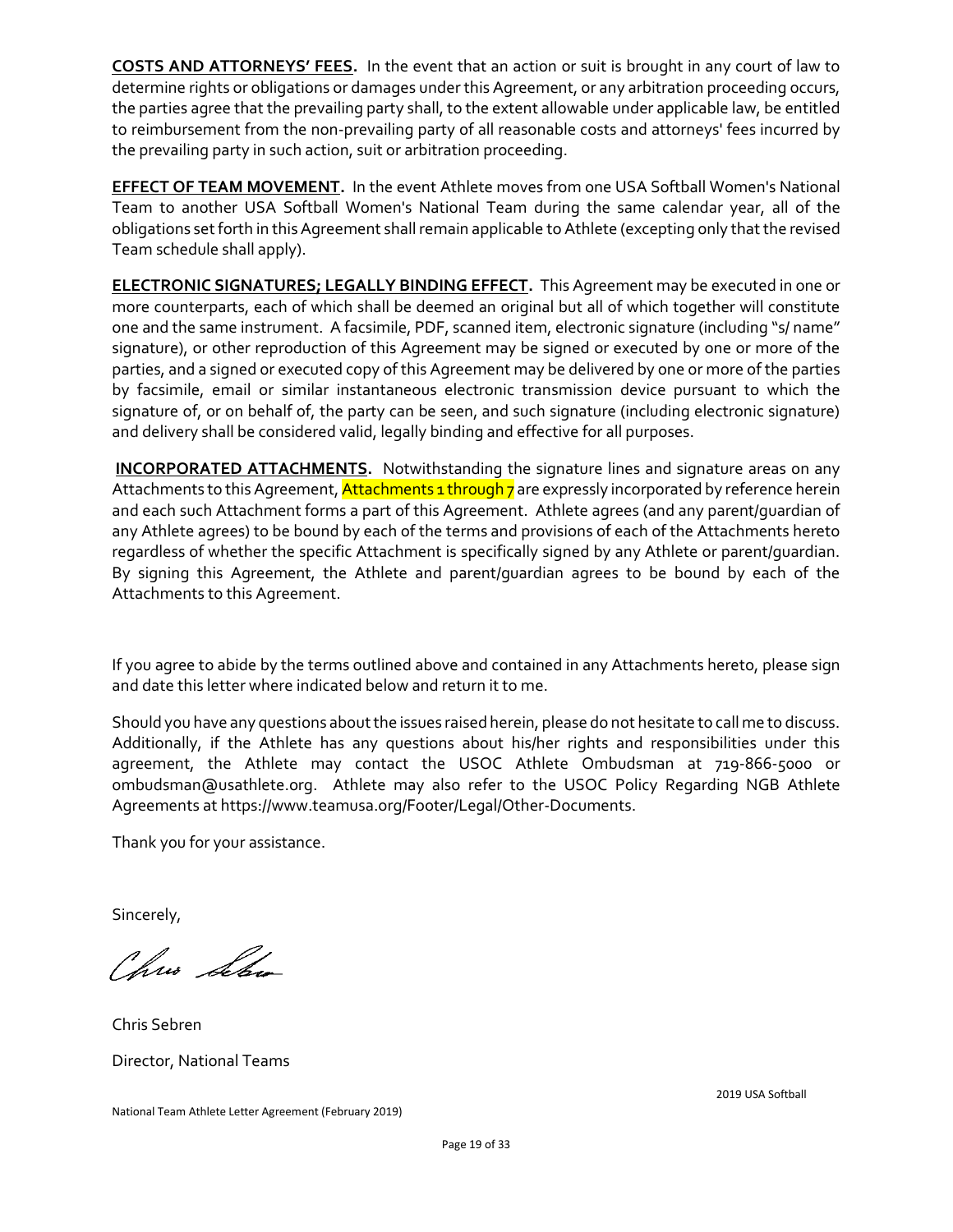**COSTS AND ATTORNEYS' FEES.** In the event that an action or suit is brought in any court of law to determine rights or obligations or damages under this Agreement, or any arbitration proceeding occurs, the parties agree that the prevailing party shall, to the extent allowable under applicable law, be entitled to reimbursement from the non-prevailing party of all reasonable costs and attorneys' fees incurred by the prevailing party in such action, suit or arbitration proceeding.

**EFFECT OF TEAM MOVEMENT.** In the event Athlete moves from one USA Softball Women's National Team to another USA Softball Women's National Team during the same calendar year, all of the obligations set forth in this Agreement shall remain applicable to Athlete (excepting only that the revised Team schedule shall apply).

**ELECTRONIC SIGNATURES; LEGALLY BINDING EFFECT.** This Agreement may be executed in one or more counterparts, each of which shall be deemed an original but all of which together will constitute one and the same instrument. A facsimile, PDF, scanned item, electronic signature (including "s/ name" signature), or other reproduction of this Agreement may be signed or executed by one or more of the parties, and a signed or executed copy of this Agreement may be delivered by one or more of the parties by facsimile, email or similar instantaneous electronic transmission device pursuant to which the signature of, or on behalf of, the party can be seen, and such signature (including electronic signature) and delivery shall be considered valid, legally binding and effective for all purposes.

**INCORPORATED ATTACHMENTS.** Notwithstanding the signature lines and signature areas on any Attachments to this Agreement, **Attachments 1 through 7** are expressly incorporated by reference herein and each such Attachment forms a part of this Agreement. Athlete agrees (and any parent/guardian of any Athlete agrees) to be bound by each of the terms and provisions of each of the Attachments hereto regardless of whether the specific Attachment is specifically signed by any Athlete or parent/guardian. By signing this Agreement, the Athlete and parent/guardian agrees to be bound by each of the Attachments to this Agreement.

If you agree to abide by the terms outlined above and contained in any Attachments hereto, please sign and date this letter where indicated below and return it to me.

Should you have any questions about the issues raised herein, please do not hesitate to call me to discuss. Additionally, if the Athlete has any questions about his/her rights and responsibilities under this agreement, the Athlete may contact the USOC Athlete Ombudsman at 719-866-5000 or [ombudsman@usathlete.org.](mailto:ombudsman@usathlete.org) Athlete may also refer to the USOC Policy Regarding NGB Athlete Agreements a[t https://www.teamusa.org/Footer/Legal/Other-Documents.](https://www.teamusa.org/Footer/Legal/Other-Documents)

Thank you for your assistance.

Sincerely,

Chris Schw

Chris Sebren Director, National Teams

National Team Athlete Letter Agreement (February 2019)

2019 USA Softball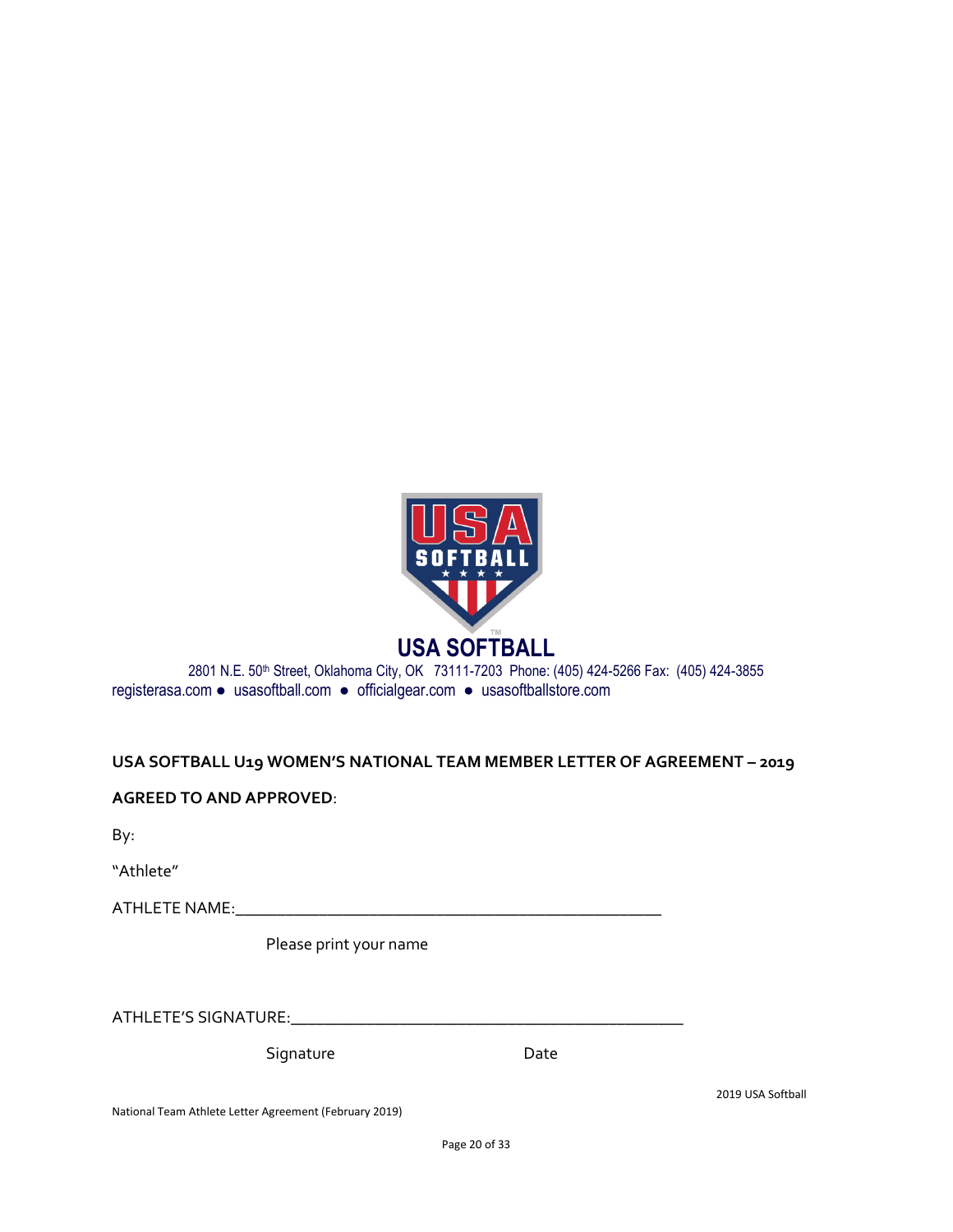

#### 2801 N.E. 50<sup>th</sup> Street, Oklahoma City, OK 73111-7203 Phone: (405) 424-5266 Fax: (405) 424-3855 registerasa.com ● usasoftball.com ● officialgear.com ● usasoftballstore.com

#### **USA SOFTBALL U19 WOMEN'S NATIONAL TEAM MEMBER LETTER OF AGREEMENT – 2019**

**AGREED TO AND APPROVED**:

By:

"Athlete"

ATHLETE NAME:\_\_\_\_\_\_\_\_\_\_\_\_\_\_\_\_\_\_\_\_\_\_\_\_\_\_\_\_\_\_\_\_\_\_\_\_\_\_\_\_\_\_\_\_\_\_\_\_\_\_\_

Please print your name

ATHLETE'S SIGNATURE:\_\_\_\_\_\_\_\_\_\_\_\_\_\_\_\_\_\_\_\_\_\_\_\_\_\_\_\_\_\_\_\_\_\_\_\_\_\_\_\_\_\_\_\_\_\_\_

Signature Date

2019 USA Softball

National Team Athlete Letter Agreement (February 2019)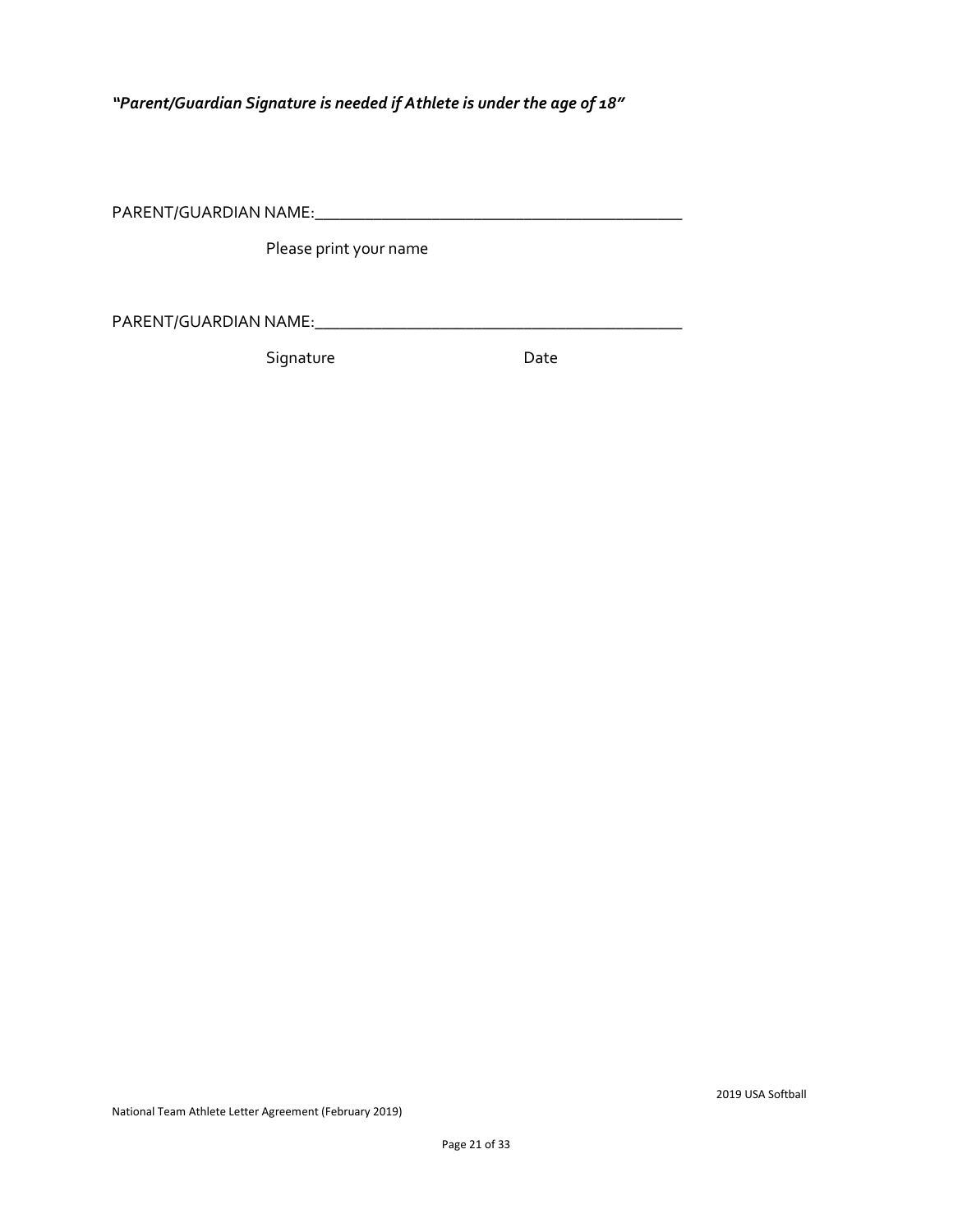*"Parent/Guardian Signature is needed if Athlete is under the age of 18"*

PARENT/GUARDIAN NAME:\_\_\_\_\_\_\_\_\_\_\_\_\_\_\_\_\_\_\_\_\_\_\_\_\_\_\_\_\_\_\_\_\_\_\_\_\_\_\_\_\_\_\_\_

Please print your name

PARENT/GUARDIAN NAME:\_\_\_\_\_\_\_\_\_\_\_\_\_\_\_\_\_\_\_\_\_\_\_\_\_\_\_\_\_\_\_\_\_\_\_\_\_\_\_\_\_\_\_\_

Signature Date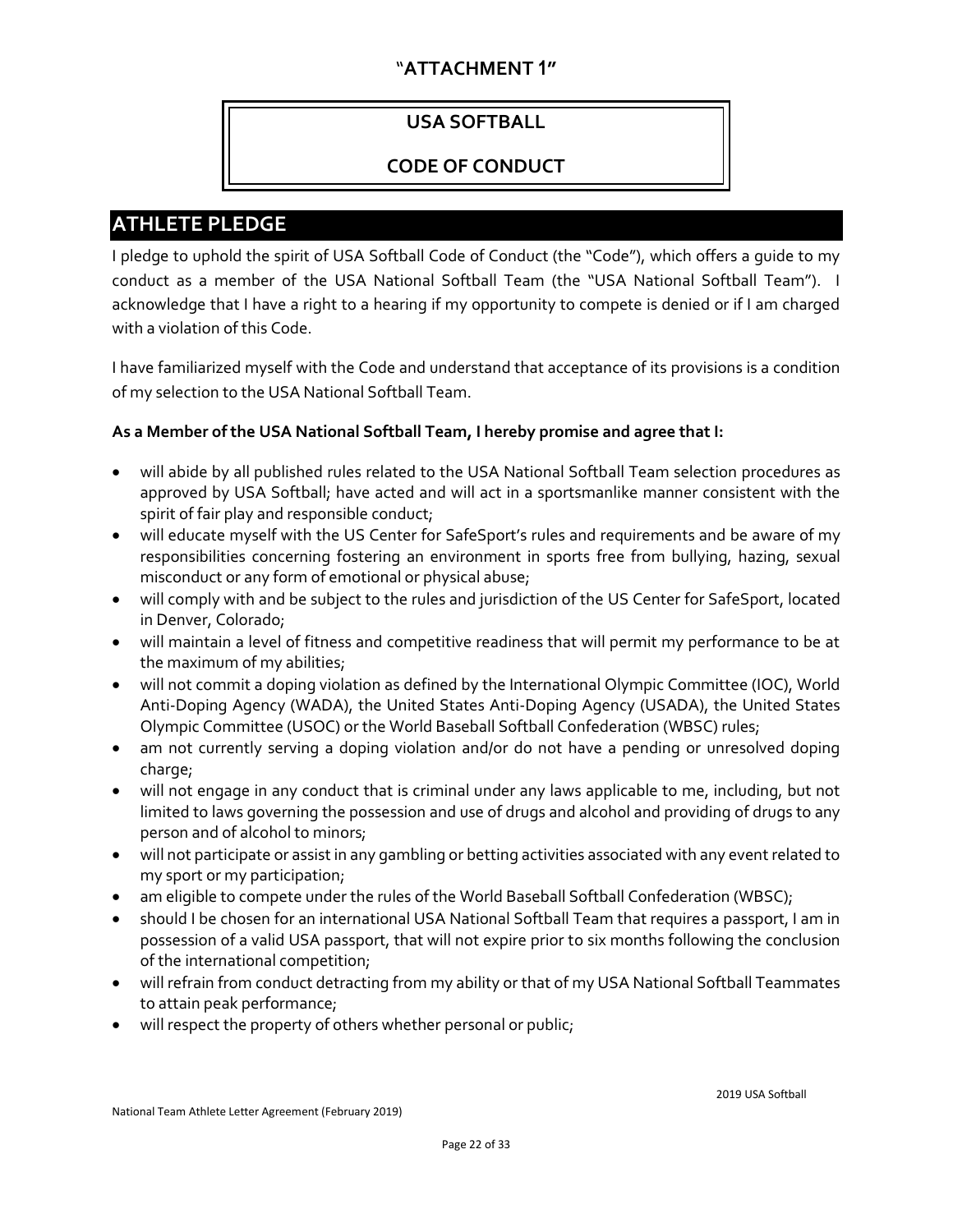#### "**ATTACHMENT 1"**

#### **USA SOFTBALL**

#### **CODE OF CONDUCT**

#### **ATHLETE PLEDGE**

I pledge to uphold the spirit of USA Softball Code of Conduct (the "Code"), which offers a guide to my conduct as a member of the USA National Softball Team (the "USA National Softball Team"). I acknowledge that I have a right to a hearing if my opportunity to compete is denied or if I am charged with a violation of this Code.

I have familiarized myself with the Code and understand that acceptance of its provisions is a condition of my selection to the USA National Softball Team.

#### **As a Member of the USA National Softball Team, I hereby promise and agree that I:**

- will abide by all published rules related to the USA National Softball Team selection procedures as approved by USA Softball; have acted and will act in a sportsmanlike manner consistent with the spirit of fair play and responsible conduct;
- will educate myself with the US Center for SafeSport's rules and requirements and be aware of my responsibilities concerning fostering an environment in sports free from bullying, hazing, sexual misconduct or any form of emotional or physical abuse;
- will comply with and be subject to the rules and jurisdiction of the US Center for SafeSport, located in Denver, Colorado;
- will maintain a level of fitness and competitive readiness that will permit my performance to be at the maximum of my abilities;
- will not commit a doping violation as defined by the International Olympic Committee (IOC), World Anti-Doping Agency (WADA), the United States Anti-Doping Agency (USADA), the United States Olympic Committee (USOC) or the World Baseball Softball Confederation (WBSC) rules;
- am not currently serving a doping violation and/or do not have a pending or unresolved doping charge;
- will not engage in any conduct that is criminal under any laws applicable to me, including, but not limited to laws governing the possession and use of drugs and alcohol and providing of drugs to any person and of alcohol to minors;
- will not participate or assist in any gambling or betting activities associated with any event related to my sport or my participation;
- am eligible to compete under the rules of the World Baseball Softball Confederation (WBSC);
- should I be chosen for an international USA National Softball Team that requires a passport, I am in possession of a valid USA passport, that will not expire prior to six months following the conclusion of the international competition;
- will refrain from conduct detracting from my ability or that of my USA National Softball Teammates to attain peak performance;
- will respect the property of others whether personal or public;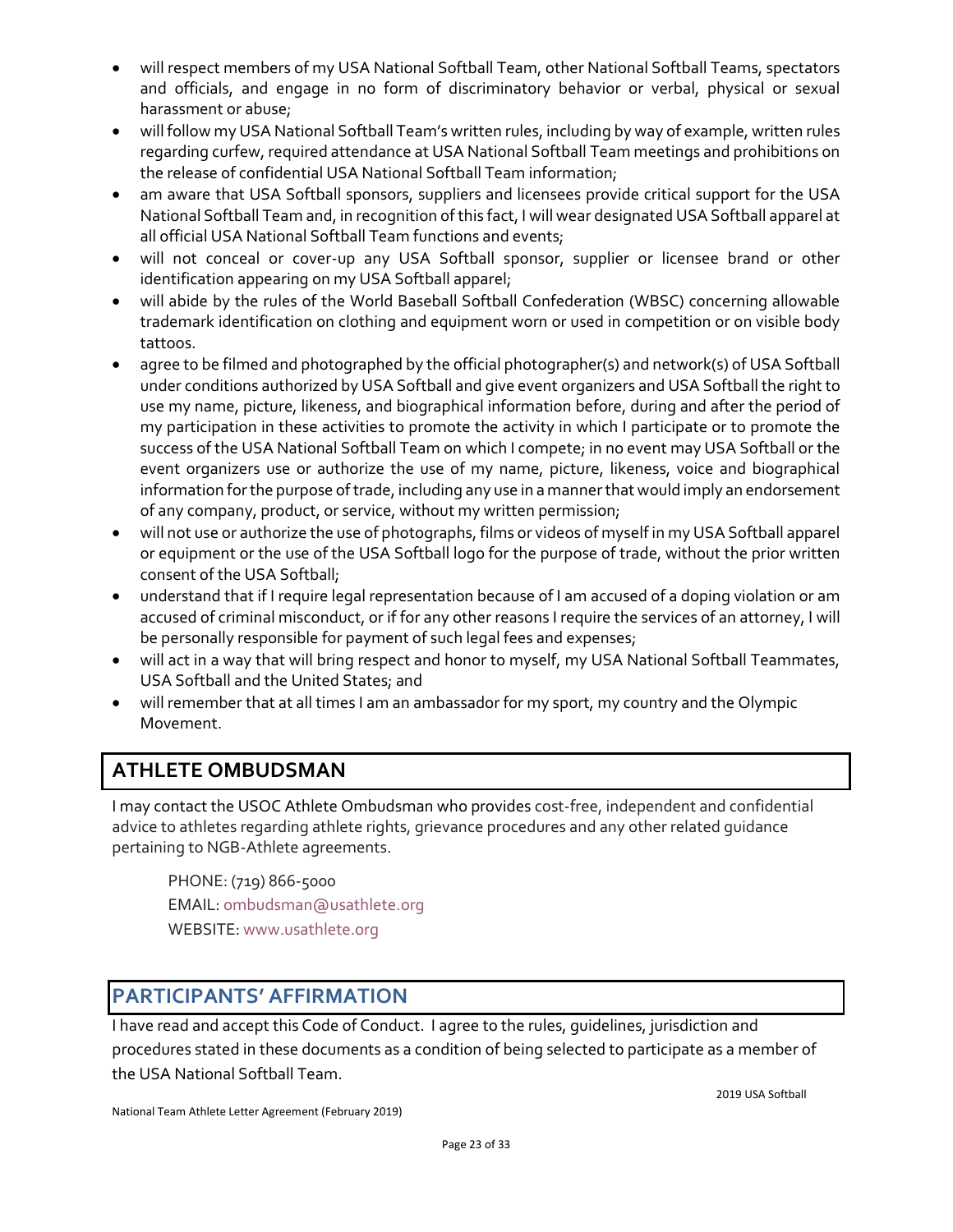- will respect members of my USA National Softball Team, other National Softball Teams, spectators and officials, and engage in no form of discriminatory behavior or verbal, physical or sexual harassment or abuse;
- will follow my USA National Softball Team's written rules, including by way of example, written rules regarding curfew, required attendance at USA National Softball Team meetings and prohibitions on the release of confidential USA National Softball Team information;
- am aware that USA Softball sponsors, suppliers and licensees provide critical support for the USA National Softball Team and, in recognition of this fact, I will wear designated USA Softball apparel at all official USA National Softball Team functions and events;
- will not conceal or cover-up any USA Softball sponsor, supplier or licensee brand or other identification appearing on my USA Softball apparel;
- will abide by the rules of the World Baseball Softball Confederation (WBSC) concerning allowable trademark identification on clothing and equipment worn or used in competition or on visible body tattoos.
- agree to be filmed and photographed by the official photographer(s) and network(s) of USA Softball under conditions authorized by USA Softball and give event organizers and USA Softball the right to use my name, picture, likeness, and biographical information before, during and after the period of my participation in these activities to promote the activity in which I participate or to promote the success of the USA National Softball Team on which I compete; in no event may USA Softball or the event organizers use or authorize the use of my name, picture, likeness, voice and biographical information for the purpose of trade, including any use in a manner that would imply an endorsement of any company, product, or service, without my written permission;
- will not use or authorize the use of photographs, films or videos of myself in my USA Softball apparel or equipment or the use of the USA Softball logo for the purpose of trade, without the prior written consent of the USA Softball;
- understand that if I require legal representation because of I am accused of a doping violation or am accused of criminal misconduct, or if for any other reasons I require the services of an attorney, I will be personally responsible for payment of such legal fees and expenses;
- will act in a way that will bring respect and honor to myself, my USA National Softball Teammates, USA Softball and the United States; and
- will remember that at all times I am an ambassador for my sport, my country and the Olympic Movement.

#### **ATHLETE OMBUDSMAN**

I may contact the USOC Athlete Ombudsman who provides cost-free, independent and confidential advice to athletes regarding athlete rights, grievance procedures and any other related guidance pertaining to NGB-Athlete agreements.

PHONE: (719) 866-5000 EMAIL: [ombudsman@usathlete.org](mailto:ombudsman@usathlete.org) WEBSITE: [www.usathlete.org](http://www.usathlete.org/)

#### **PARTICIPANTS' AFFIRMATION**

I have read and accept this Code of Conduct. I agree to the rules, guidelines, jurisdiction and procedures stated in these documents as a condition of being selected to participate as a member of the USA National Softball Team.

2019 USA Softball

National Team Athlete Letter Agreement (February 2019)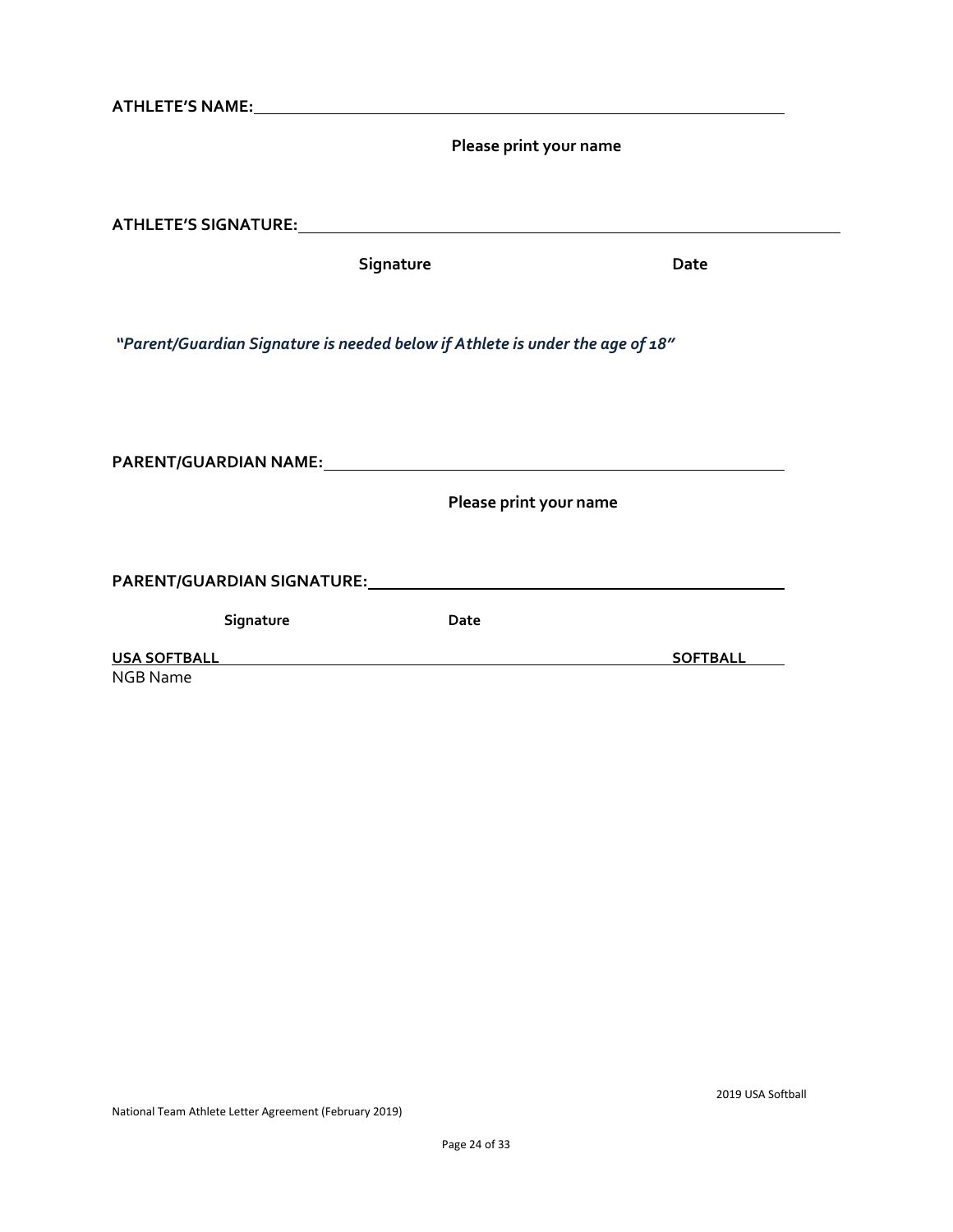| ATHLETE'S NAME: And the state of the state of the state of the state of the state of the state of the state of the state of the state of the state of the state of the state of the state of the state of the state of the sta |                        |                 |
|--------------------------------------------------------------------------------------------------------------------------------------------------------------------------------------------------------------------------------|------------------------|-----------------|
|                                                                                                                                                                                                                                | Please print your name |                 |
|                                                                                                                                                                                                                                |                        |                 |
|                                                                                                                                                                                                                                | Signature              | Date            |
|                                                                                                                                                                                                                                |                        |                 |
| "Parent/Guardian Signature is needed below if Athlete is under the age of 18"                                                                                                                                                  |                        |                 |
|                                                                                                                                                                                                                                |                        |                 |
|                                                                                                                                                                                                                                | Please print your name |                 |
|                                                                                                                                                                                                                                |                        |                 |
| Signature                                                                                                                                                                                                                      | Date                   |                 |
| USA SOFTBALL AND ALCOHOLYSING THE RESERVE THAT A STRUCK AND THE RESERVE THAT A STRUCK AND THE RESERVE THAT A STRUCK AND THE RESERVE THAT A STRUCK AND THE RESERVE THAT A STRUCK AND THE RESERVE THAT A STRUCK AND THE RESERVE  |                        | <b>SOFTBALL</b> |
| <b>NGB Name</b>                                                                                                                                                                                                                |                        |                 |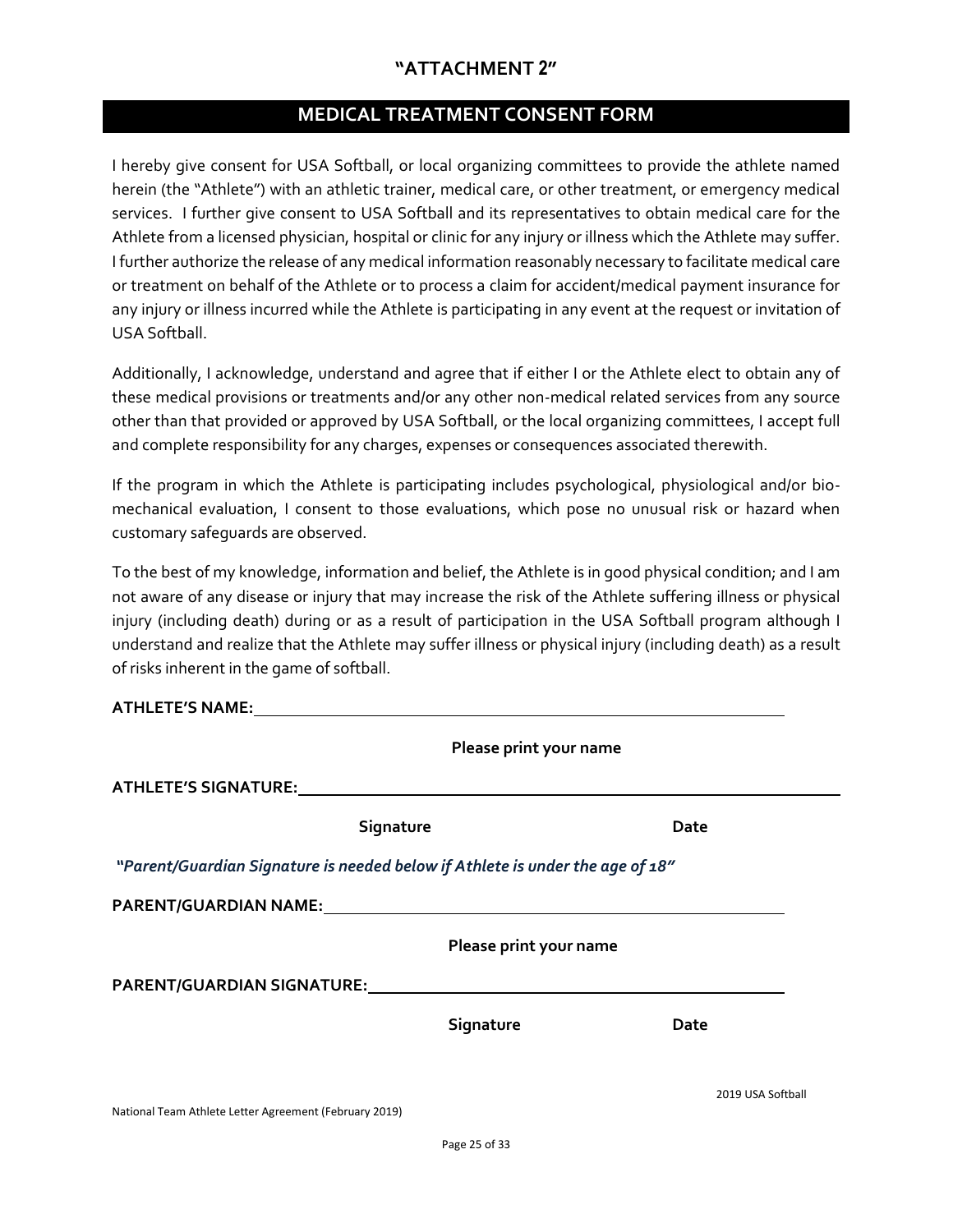#### **"ATTACHMENT 2"**

#### **MEDICAL TREATMENT CONSENT FORM**

I hereby give consent for USA Softball, or local organizing committees to provide the athlete named herein (the "Athlete") with an athletic trainer, medical care, or other treatment, or emergency medical services. I further give consent to USA Softball and its representatives to obtain medical care for the Athlete from a licensed physician, hospital or clinic for any injury or illness which the Athlete may suffer. I further authorize the release of any medical information reasonably necessary to facilitate medical care or treatment on behalf of the Athlete or to process a claim for accident/medical payment insurance for any injury or illness incurred while the Athlete is participating in any event at the request or invitation of USA Softball.

Additionally, I acknowledge, understand and agree that if either I or the Athlete elect to obtain any of these medical provisions or treatments and/or any other non-medical related services from any source other than that provided or approved by USA Softball, or the local organizing committees, I accept full and complete responsibility for any charges, expenses or consequences associated therewith.

If the program in which the Athlete is participating includes psychological, physiological and/or biomechanical evaluation, I consent to those evaluations, which pose no unusual risk or hazard when customary safeguards are observed.

To the best of my knowledge, information and belief, the Athlete is in good physical condition; and I am not aware of any disease or injury that may increase the risk of the Athlete suffering illness or physical injury (including death) during or as a result of participation in the USA Softball program although I understand and realize that the Athlete may suffer illness or physical injury (including death) as a result of risks inherent in the game of softball.

| <b>ATHLETE'S NAME:</b> |  |
|------------------------|--|
|------------------------|--|

|                                                                               | Please print your name |                   |  |
|-------------------------------------------------------------------------------|------------------------|-------------------|--|
| <b>ATHLETE'S SIGNATURE:</b>                                                   |                        |                   |  |
| Signature                                                                     |                        | Date              |  |
| "Parent/Guardian Signature is needed below if Athlete is under the age of 18" |                        |                   |  |
|                                                                               |                        |                   |  |
|                                                                               | Please print your name |                   |  |
|                                                                               |                        |                   |  |
|                                                                               | Signature              | Date              |  |
|                                                                               |                        |                   |  |
| National Team Athlete Letter Agreement (February 2019)                        |                        | 2019 USA Softball |  |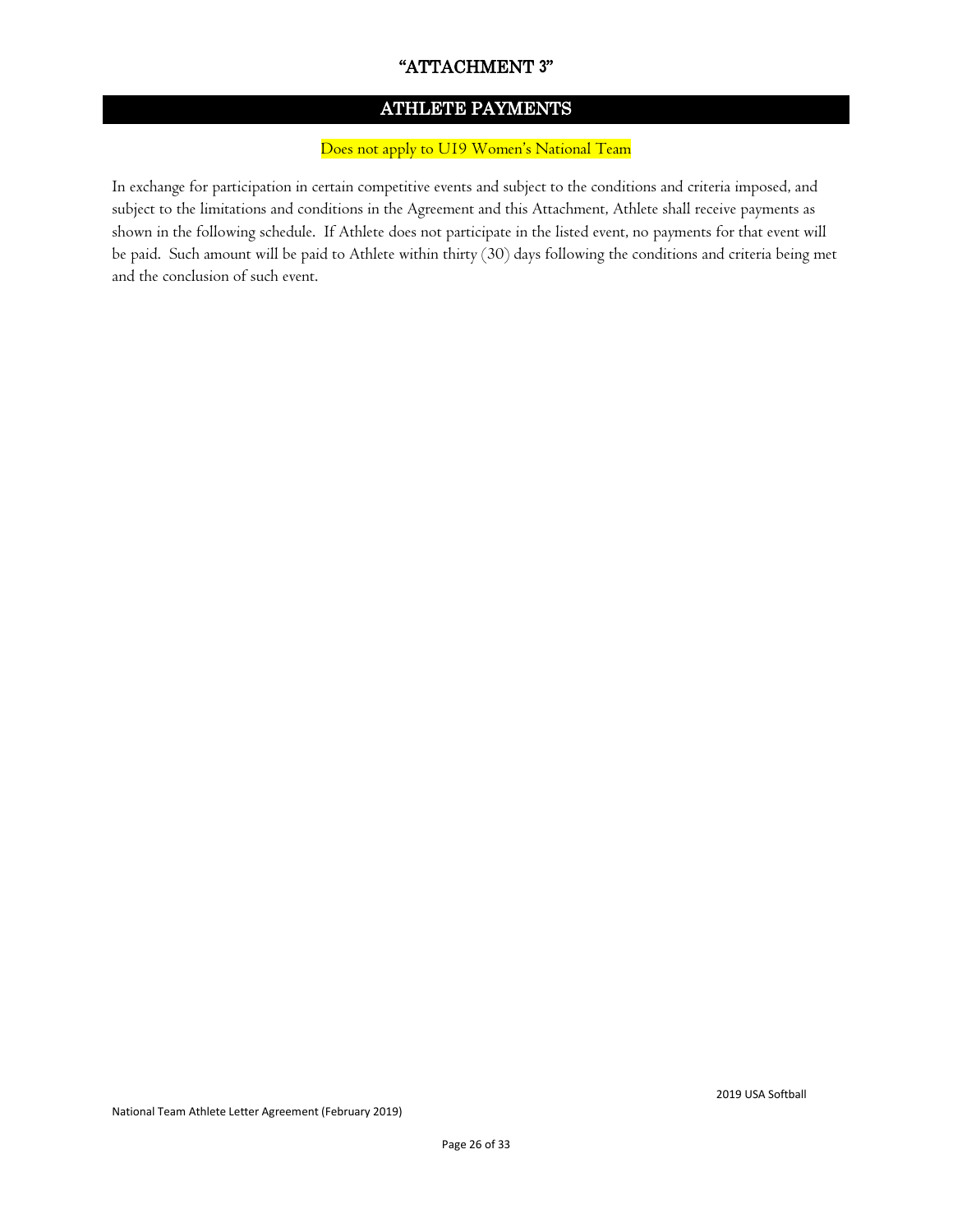#### "ATTACHMENT **3**"

#### ATHLETE PAYMENTS

#### Does not apply to U19 Women's National Team

In exchange for participation in certain competitive events and subject to the conditions and criteria imposed, and subject to the limitations and conditions in the Agreement and this Attachment, Athlete shall receive payments as shown in the following schedule. If Athlete does not participate in the listed event, no payments for that event will be paid. Such amount will be paid to Athlete within thirty (30) days following the conditions and criteria being met and the conclusion of such event.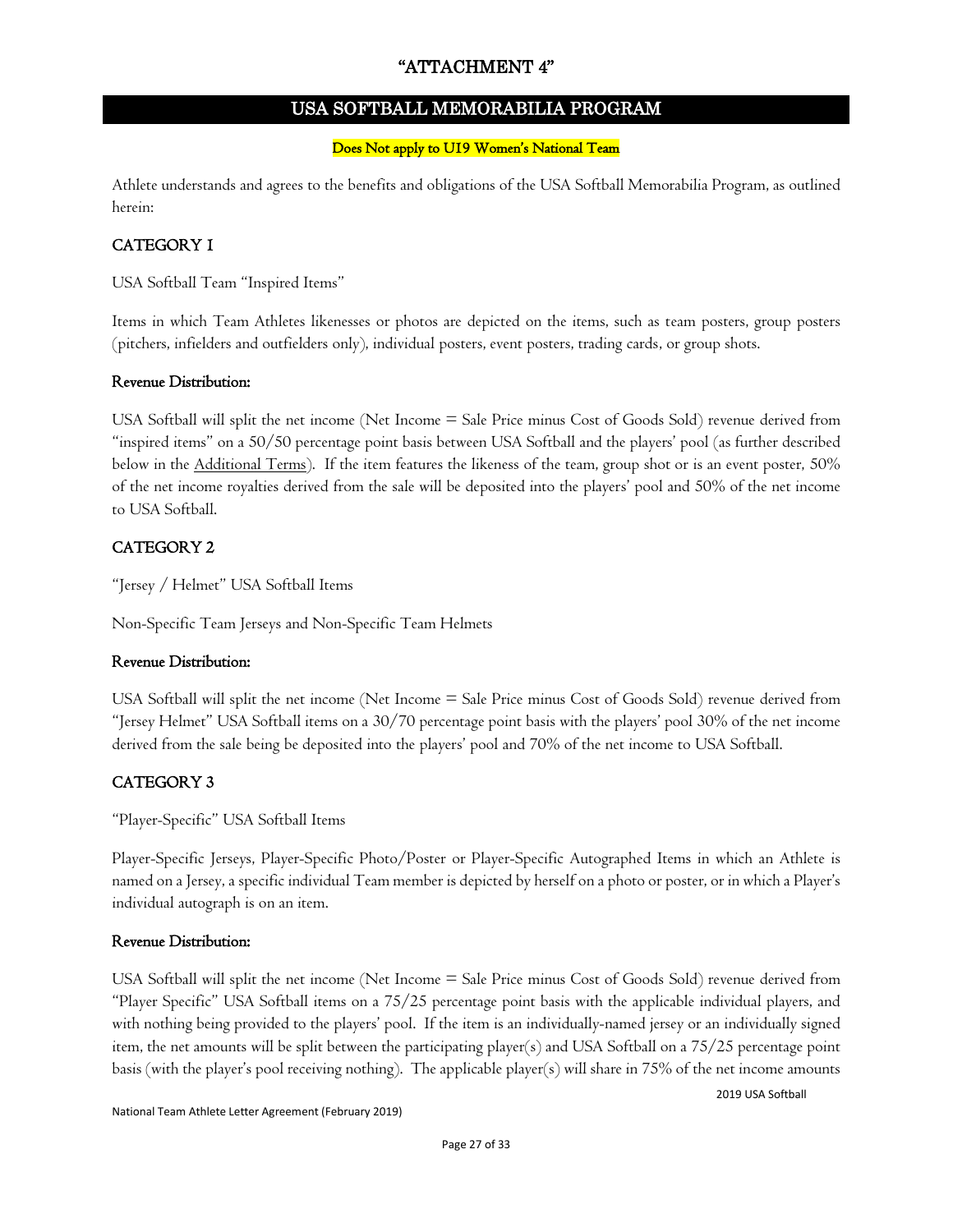#### "ATTACHMENT 4"

#### USA SOFTBALL MEMORABILIA PROGRAM

#### Does Not apply to U19 Women's National Team

Athlete understands and agrees to the benefits and obligations of the USA Softball Memorabilia Program, as outlined herein:

#### CATEGORY 1

USA Softball Team "Inspired Items"

Items in which Team Athletes likenesses or photos are depicted on the items, such as team posters, group posters (pitchers, infielders and outfielders only), individual posters, event posters, trading cards, or group shots.

#### Revenue Distribution:

USA Softball will split the net income (Net Income = Sale Price minus Cost of Goods Sold) revenue derived from "inspired items" on a 50/50 percentage point basis between USA Softball and the players' pool (as further described below in the Additional Terms). If the item features the likeness of the team, group shot or is an event poster, 50% of the net income royalties derived from the sale will be deposited into the players' pool and 50% of the net income to USA Softball.

#### CATEGORY 2

"Jersey / Helmet" USA Softball Items

Non-Specific Team Jerseys and Non-Specific Team Helmets

#### Revenue Distribution:

USA Softball will split the net income (Net Income = Sale Price minus Cost of Goods Sold) revenue derived from "Jersey Helmet" USA Softball items on a 30/70 percentage point basis with the players' pool 30% of the net income derived from the sale being be deposited into the players' pool and 70% of the net income to USA Softball.

#### CATEGORY 3

"Player-Specific" USA Softball Items

Player-Specific Jerseys, Player-Specific Photo/Poster or Player-Specific Autographed Items in which an Athlete is named on a Jersey, a specific individual Team member is depicted by herself on a photo or poster, or in which a Player's individual autograph is on an item.

#### Revenue Distribution:

USA Softball will split the net income (Net Income = Sale Price minus Cost of Goods Sold) revenue derived from "Player Specific" USA Softball items on a 75/25 percentage point basis with the applicable individual players, and with nothing being provided to the players' pool. If the item is an individually-named jersey or an individually signed item, the net amounts will be split between the participating player(s) and USA Softball on a 75/25 percentage point basis (with the player's pool receiving nothing). The applicable player(s) will share in 75% of the net income amounts

2019 USA Softball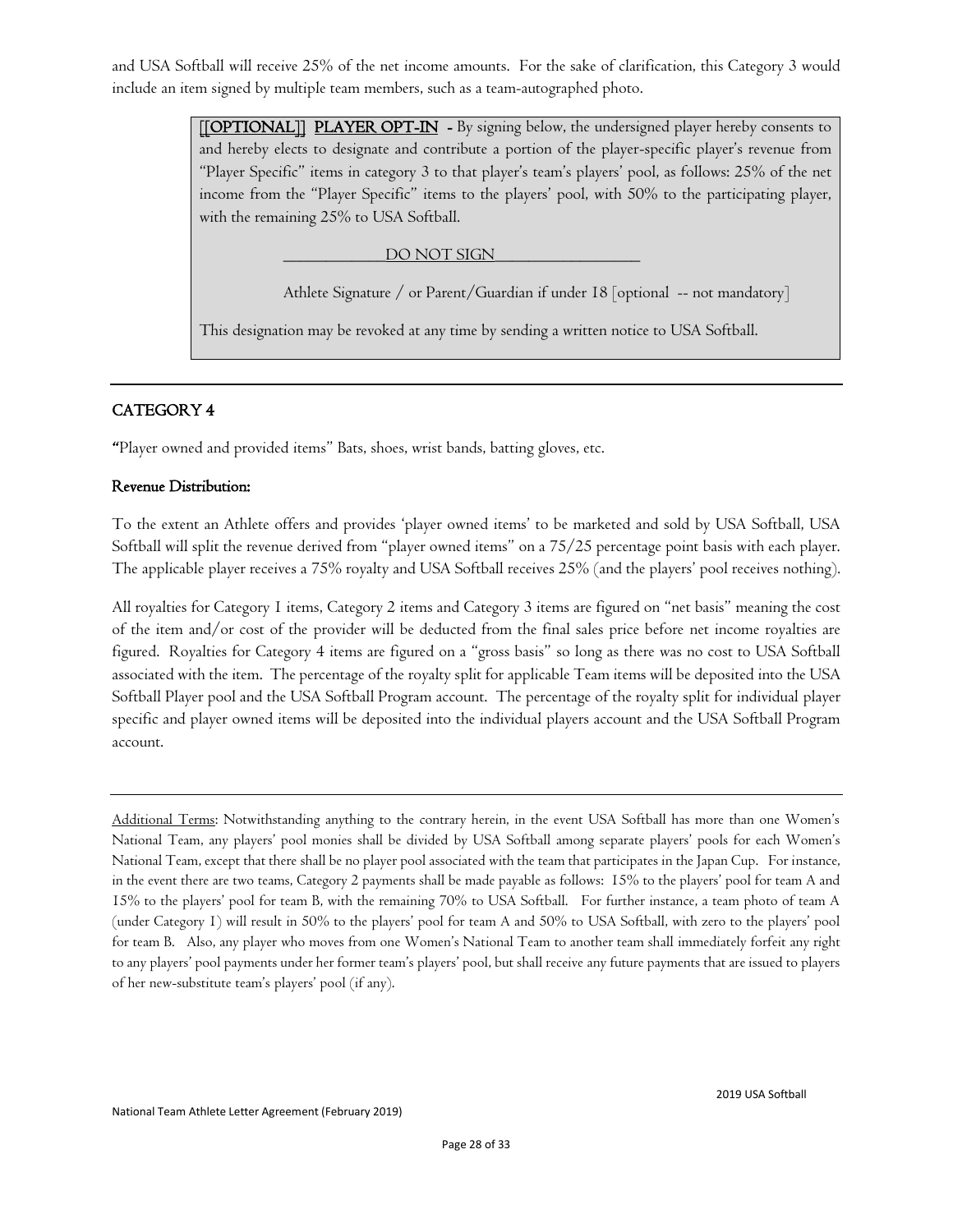and USA Softball will receive 25% of the net income amounts. For the sake of clarification, this Category 3 would include an item signed by multiple team members, such as a team-autographed photo.

> [[OPTIONAL]] PLAYER OPT-IN - By signing below, the undersigned player hereby consents to and hereby elects to designate and contribute a portion of the player-specific player's revenue from "Player Specific" items in category 3 to that player's team's players' pool, as follows: 25% of the net income from the "Player Specific" items to the players' pool, with 50% to the participating player, with the remaining 25% to USA Softball.

> > DO NOT SIGN

Athlete Signature / or Parent/Guardian if under 18 [optional -- not mandatory]

This designation may be revoked at any time by sending a written notice to USA Softball.

#### CATEGORY 4

"Player owned and provided items" Bats, shoes, wrist bands, batting gloves, etc.

#### Revenue Distribution:

To the extent an Athlete offers and provides 'player owned items' to be marketed and sold by USA Softball, USA Softball will split the revenue derived from "player owned items" on a 75/25 percentage point basis with each player. The applicable player receives a 75% royalty and USA Softball receives 25% (and the players' pool receives nothing).

All royalties for Category 1 items, Category 2 items and Category 3 items are figured on "net basis" meaning the cost of the item and/or cost of the provider will be deducted from the final sales price before net income royalties are figured. Royalties for Category 4 items are figured on a "gross basis" so long as there was no cost to USA Softball associated with the item. The percentage of the royalty split for applicable Team items will be deposited into the USA Softball Player pool and the USA Softball Program account. The percentage of the royalty split for individual player specific and player owned items will be deposited into the individual players account and the USA Softball Program account.

Additional Terms: Notwithstanding anything to the contrary herein, in the event USA Softball has more than one Women's National Team, any players' pool monies shall be divided by USA Softball among separate players' pools for each Women's National Team, except that there shall be no player pool associated with the team that participates in the Japan Cup. For instance, in the event there are two teams, Category 2 payments shall be made payable as follows: 15% to the players' pool for team A and 15% to the players' pool for team B, with the remaining 70% to USA Softball. For further instance, a team photo of team A (under Category 1) will result in 50% to the players' pool for team A and 50% to USA Softball, with zero to the players' pool for team B. Also, any player who moves from one Women's National Team to another team shall immediately forfeit any right to any players' pool payments under her former team's players' pool, but shall receive any future payments that are issued to players of her new-substitute team's players' pool (if any).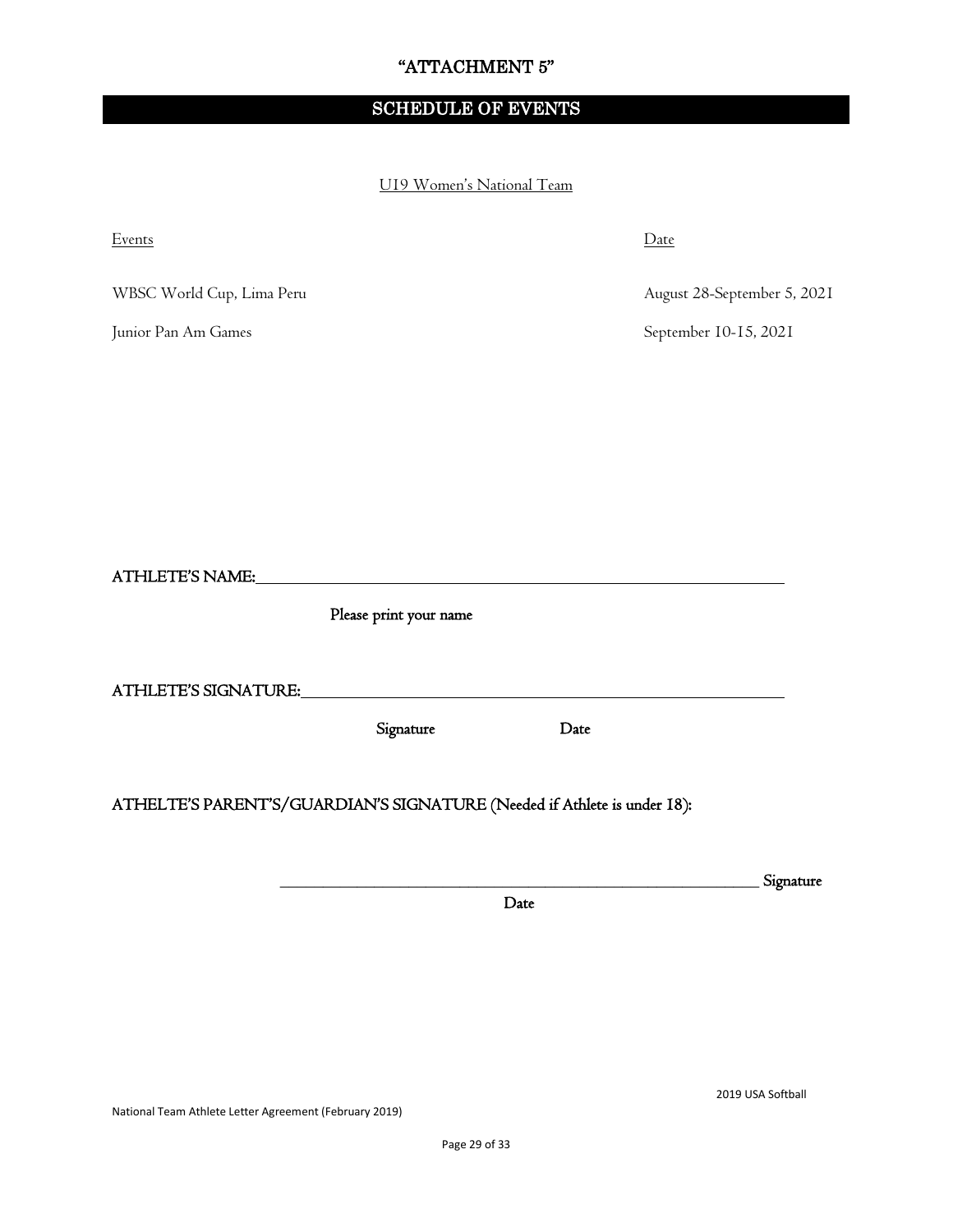#### "ATTACHMENT 5"

#### SCHEDULE OF EVENTS

U19 Women's National Team

| Events                                                                   |                                                                                                                       |      | Date                        |           |
|--------------------------------------------------------------------------|-----------------------------------------------------------------------------------------------------------------------|------|-----------------------------|-----------|
| WBSC World Cup, Lima Peru                                                |                                                                                                                       |      | August 28-September 5, 2021 |           |
| Junior Pan Am Games                                                      |                                                                                                                       |      | September 10-15, 2021       |           |
|                                                                          |                                                                                                                       |      |                             |           |
|                                                                          |                                                                                                                       |      |                             |           |
|                                                                          |                                                                                                                       |      |                             |           |
|                                                                          |                                                                                                                       |      |                             |           |
| ATHLETE'S NAME:                                                          | <u> 1989 - Johann Harry Harry Harry Harry Harry Harry Harry Harry Harry Harry Harry Harry Harry Harry Harry Harry</u> |      |                             |           |
|                                                                          | Please print your name                                                                                                |      |                             |           |
| ATHLETE'S SIGNATURE:                                                     |                                                                                                                       |      |                             |           |
|                                                                          | Signature                                                                                                             | Date |                             |           |
| ATHELTE'S PARENT'S/GUARDIAN'S SIGNATURE (Needed if Athlete is under 18): |                                                                                                                       |      |                             |           |
|                                                                          |                                                                                                                       |      |                             | Signature |
|                                                                          |                                                                                                                       | Date |                             |           |

2019 USA Softball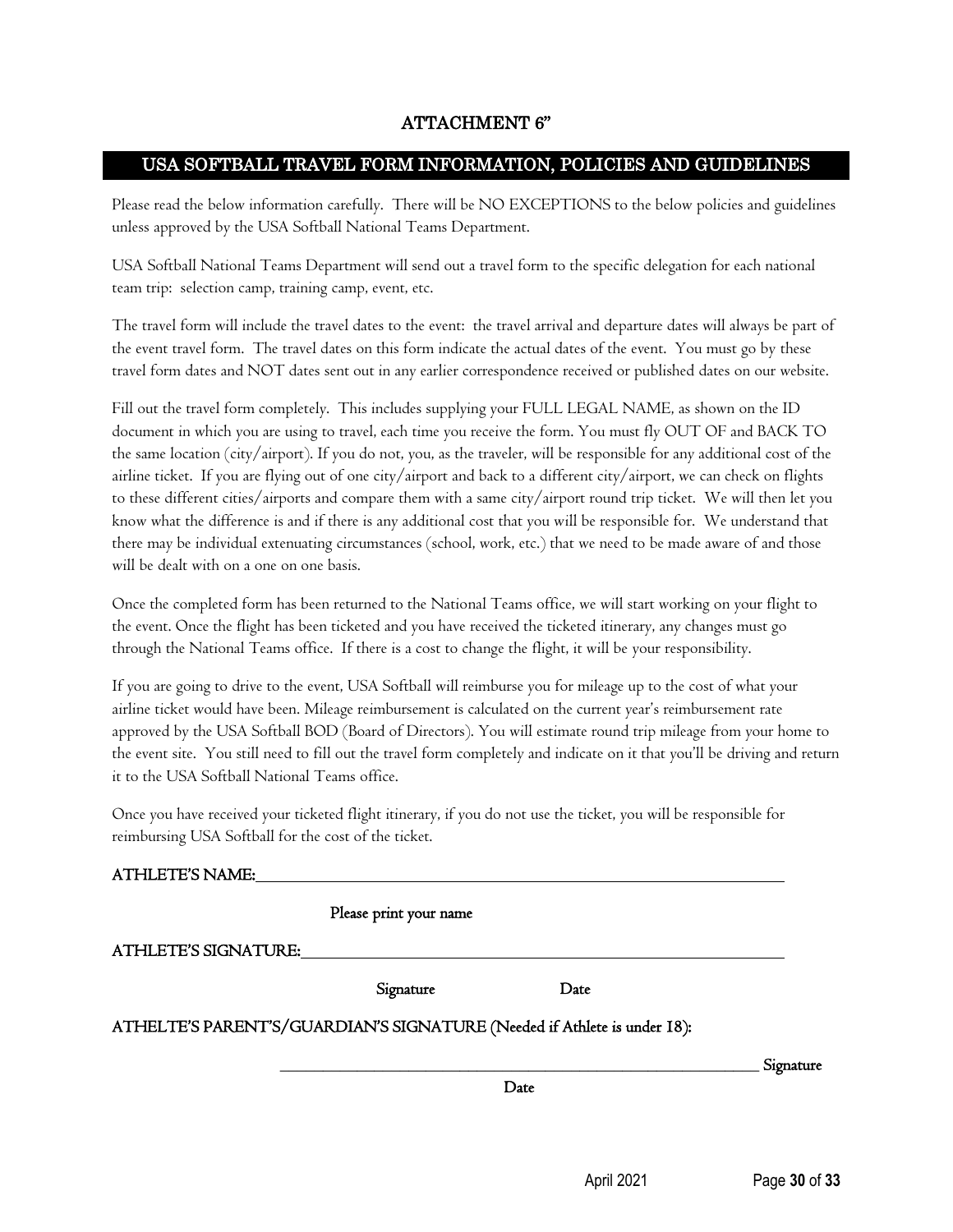#### ATTACHMENT 6"

#### USA SOFTBALL TRAVEL FORM INFORMATION, POLICIES AND GUIDELINES

Please read the below information carefully. There will be NO EXCEPTIONS to the below policies and guidelines unless approved by the USA Softball National Teams Department.

USA Softball National Teams Department will send out a travel form to the specific delegation for each national team trip: selection camp, training camp, event, etc.

The travel form will include the travel dates to the event: the travel arrival and departure dates will always be part of the event travel form. The travel dates on this form indicate the actual dates of the event. You must go by these travel form dates and NOT dates sent out in any earlier correspondence received or published dates on our website.

Fill out the travel form completely. This includes supplying your FULL LEGAL NAME, as shown on the ID document in which you are using to travel, each time you receive the form. You must fly OUT OF and BACK TO the same location (city/airport). If you do not, you, as the traveler, will be responsible for any additional cost of the airline ticket. If you are flying out of one city/airport and back to a different city/airport, we can check on flights to these different cities/airports and compare them with a same city/airport round trip ticket. We will then let you know what the difference is and if there is any additional cost that you will be responsible for. We understand that there may be individual extenuating circumstances (school, work, etc.) that we need to be made aware of and those will be dealt with on a one on one basis.

Once the completed form has been returned to the National Teams office, we will start working on your flight to the event. Once the flight has been ticketed and you have received the ticketed itinerary, any changes must go through the National Teams office. If there is a cost to change the flight, it will be your responsibility.

If you are going to drive to the event, USA Softball will reimburse you for mileage up to the cost of what your airline ticket would have been. Mileage reimbursement is calculated on the current year's reimbursement rate approved by the USA Softball BOD (Board of Directors). You will estimate round trip mileage from your home to the event site. You still need to fill out the travel form completely and indicate on it that you'll be driving and return it to the USA Softball National Teams office.

Once you have received your ticketed flight itinerary, if you do not use the ticket, you will be responsible for reimbursing USA Softball for the cost of the ticket.

|                             | Please print your name                                                   |      |           |
|-----------------------------|--------------------------------------------------------------------------|------|-----------|
| <b>ATHLETE'S SIGNATURE:</b> |                                                                          |      |           |
|                             | Signature                                                                | Date |           |
|                             | ATHELTE'S PARENT'S/GUARDIAN'S SIGNATURE (Needed if Athlete is under 18): |      |           |
|                             |                                                                          |      | Signature |
|                             |                                                                          | Date |           |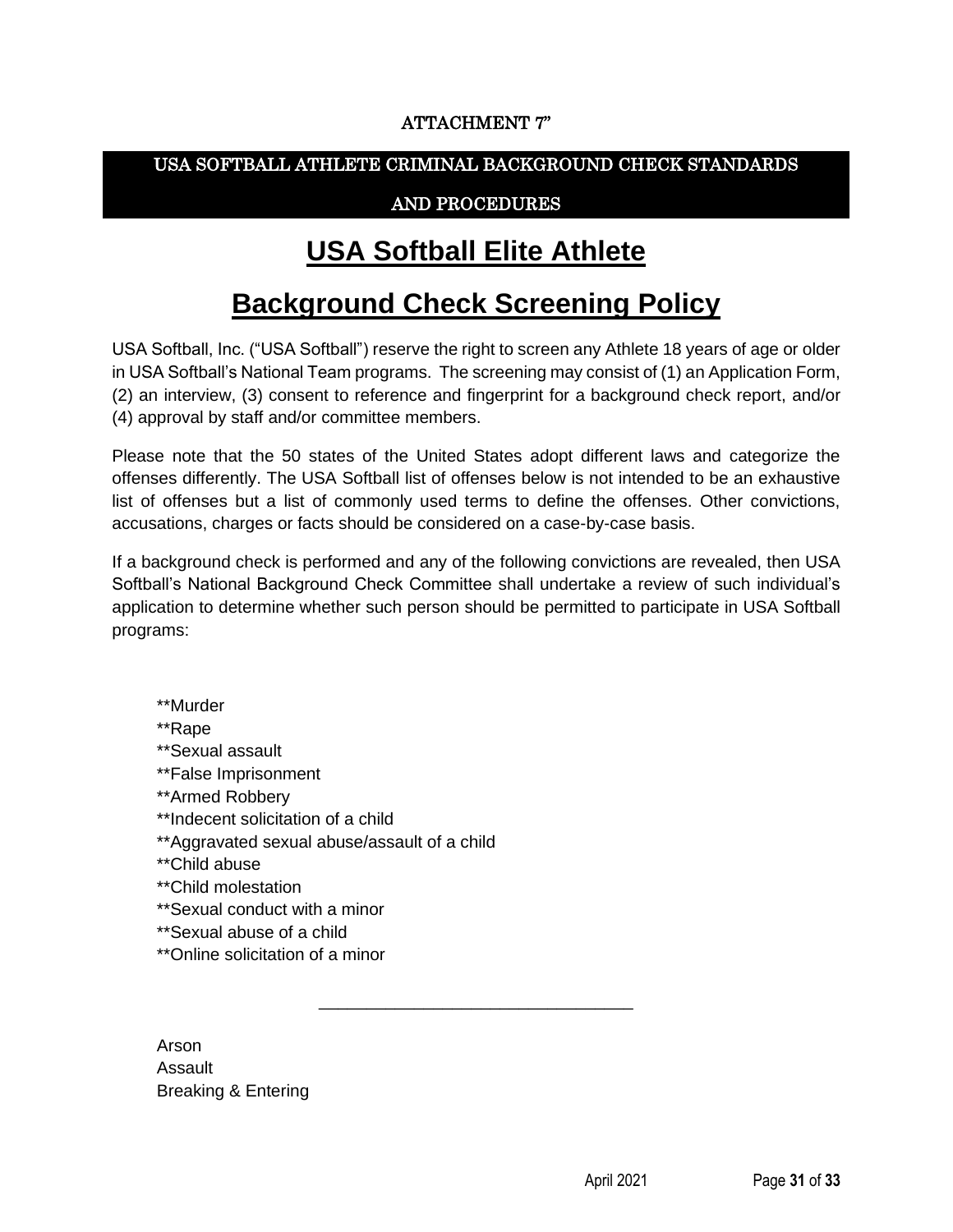#### ATTACHMENT 7"

#### USA SOFTBALL ATHLETE CRIMINAL BACKGROUND CHECK STANDARDS

#### AND PROCEDURES

### **USA Softball Elite Athlete**

## **Background Check Screening Policy**

USA Softball, Inc. ("USA Softball") reserve the right to screen any Athlete 18 years of age or older in USA Softball's National Team programs. The screening may consist of (1) an Application Form, (2) an interview, (3) consent to reference and fingerprint for a background check report, and/or (4) approval by staff and/or committee members.

Please note that the 50 states of the United States adopt different laws and categorize the offenses differently. The USA Softball list of offenses below is not intended to be an exhaustive list of offenses but a list of commonly used terms to define the offenses. Other convictions, accusations, charges or facts should be considered on a case-by-case basis.

If a background check is performed and any of the following convictions are revealed, then USA Softball's National Background Check Committee shall undertake a review of such individual's application to determine whether such person should be permitted to participate in USA Softball programs:

\_\_\_\_\_\_\_\_\_\_\_\_\_\_\_\_\_\_\_\_\_\_\_\_\_\_\_\_\_\_\_\_\_

\*\*Murder

\*\*Rape

- \*\*Sexual assault
- \*\*False Imprisonment
- \*\*Armed Robbery
- \*\*Indecent solicitation of a child
- \*\*Aggravated sexual abuse/assault of a child
- \*\*Child abuse
- \*\*Child molestation
- \*\*Sexual conduct with a minor
- \*\*Sexual abuse of a child
- \*\*Online solicitation of a minor

Arson Assault Breaking & Entering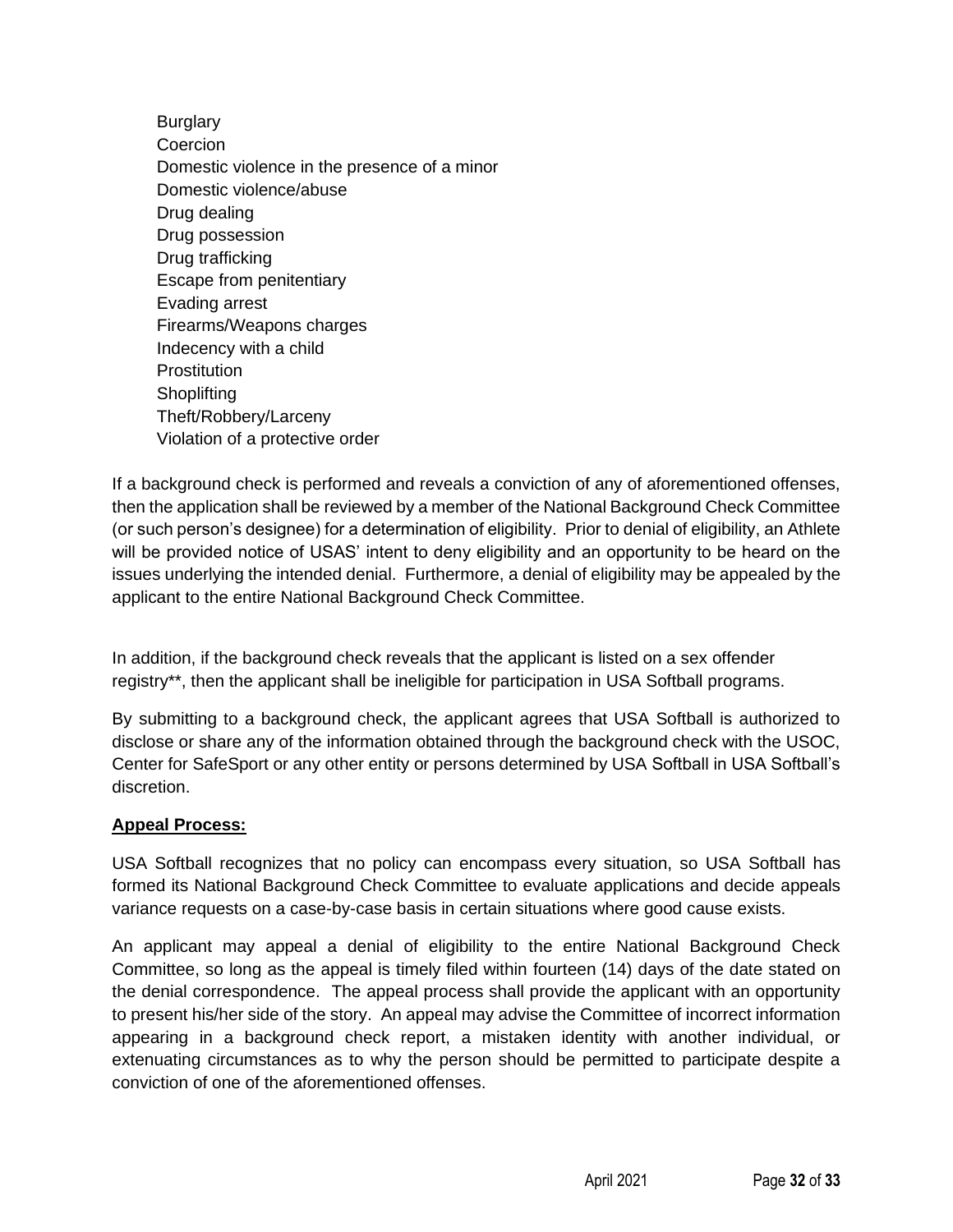**Burglary Coercion** Domestic violence in the presence of a minor Domestic violence/abuse Drug dealing Drug possession Drug trafficking Escape from penitentiary Evading arrest Firearms/Weapons charges Indecency with a child **Prostitution Shoplifting** Theft/Robbery/Larceny Violation of a protective order

If a background check is performed and reveals a conviction of any of aforementioned offenses, then the application shall be reviewed by a member of the National Background Check Committee (or such person's designee) for a determination of eligibility. Prior to denial of eligibility, an Athlete will be provided notice of USAS' intent to deny eligibility and an opportunity to be heard on the issues underlying the intended denial. Furthermore, a denial of eligibility may be appealed by the applicant to the entire National Background Check Committee.

In addition, if the background check reveals that the applicant is listed on a sex offender registry\*\*, then the applicant shall be ineligible for participation in USA Softball programs.

By submitting to a background check, the applicant agrees that USA Softball is authorized to disclose or share any of the information obtained through the background check with the USOC, Center for SafeSport or any other entity or persons determined by USA Softball in USA Softball's discretion.

#### **Appeal Process:**

USA Softball recognizes that no policy can encompass every situation, so USA Softball has formed its National Background Check Committee to evaluate applications and decide appeals variance requests on a case-by-case basis in certain situations where good cause exists.

An applicant may appeal a denial of eligibility to the entire National Background Check Committee, so long as the appeal is timely filed within fourteen (14) days of the date stated on the denial correspondence. The appeal process shall provide the applicant with an opportunity to present his/her side of the story. An appeal may advise the Committee of incorrect information appearing in a background check report, a mistaken identity with another individual, or extenuating circumstances as to why the person should be permitted to participate despite a conviction of one of the aforementioned offenses.